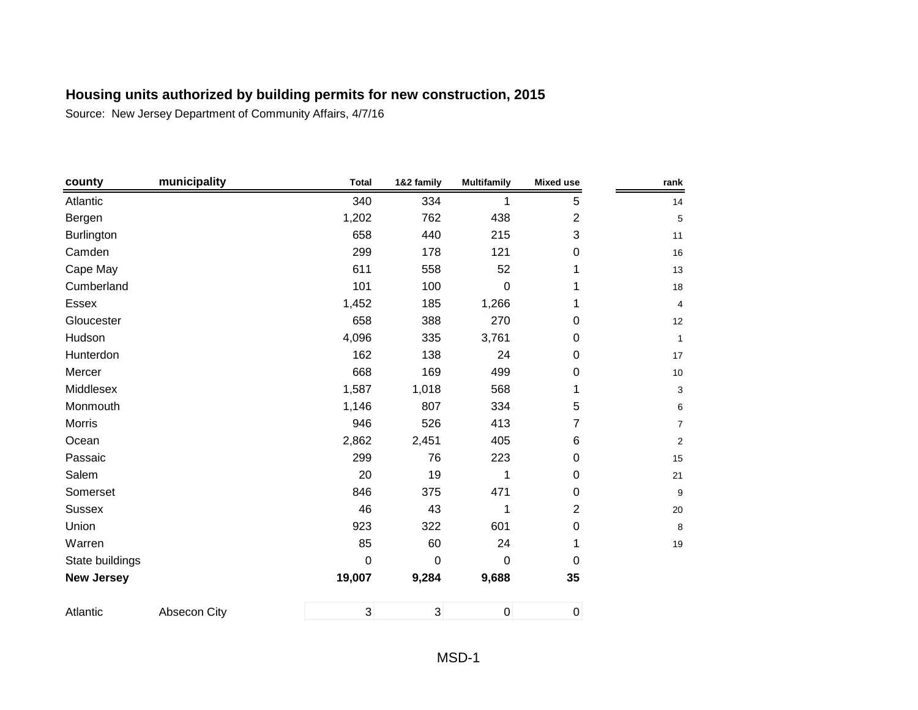| county            | municipality | <b>Total</b> | 1&2 family     | <b>Multifamily</b> | <b>Mixed use</b> | rank            |
|-------------------|--------------|--------------|----------------|--------------------|------------------|-----------------|
| Atlantic          |              | 340          | 334            | 1                  | 5                | 14              |
| Bergen            |              | 1,202        | 762            | 438                | $\overline{2}$   | $\overline{5}$  |
| Burlington        |              | 658          | 440            | 215                | 3                | 11              |
| Camden            |              | 299          | 178            | 121                | $\mathbf 0$      | 16              |
| Cape May          |              | 611          | 558            | 52                 |                  | 13              |
| Cumberland        |              | 101          | 100            | 0                  |                  | 18              |
| Essex             |              | 1,452        | 185            | 1,266              |                  | $\overline{4}$  |
| Gloucester        |              | 658          | 388            | 270                | 0                | 12              |
| Hudson            |              | 4,096        | 335            | 3,761              | 0                | $\mathbf{1}$    |
| Hunterdon         |              | 162          | 138            | 24                 | $\mathbf 0$      | 17              |
| Mercer            |              | 668          | 169            | 499                | $\boldsymbol{0}$ | 10 <sup>°</sup> |
| Middlesex         |              | 1,587        | 1,018          | 568                | 1                | 3               |
| Monmouth          |              | 1,146        | 807            | 334                | 5                | 6               |
| Morris            |              | 946          | 526            | 413                | 7                | $\overline{7}$  |
| Ocean             |              | 2,862        | 2,451          | 405                | 6                | $\overline{2}$  |
| Passaic           |              | 299          | 76             | 223                | 0                | 15              |
| Salem             |              | 20           | 19             | 1                  | 0                | 21              |
| Somerset          |              | 846          | 375            | 471                | 0                | 9               |
| <b>Sussex</b>     |              | 46           | 43             | 1                  | $\overline{2}$   | 20              |
| Union             |              | 923          | 322            | 601                | $\mathbf 0$      | 8               |
| Warren            |              | 85           | 60             | 24                 | 1                | 19              |
| State buildings   |              | 0            | $\mathbf 0$    | 0                  | $\mathbf 0$      |                 |
| <b>New Jersey</b> |              | 19,007       | 9,284          | 9,688              | 35               |                 |
| Atlantic          | Absecon City | $\mathbf{3}$ | $\overline{3}$ | $\pmb{0}$          | $\boldsymbol{0}$ |                 |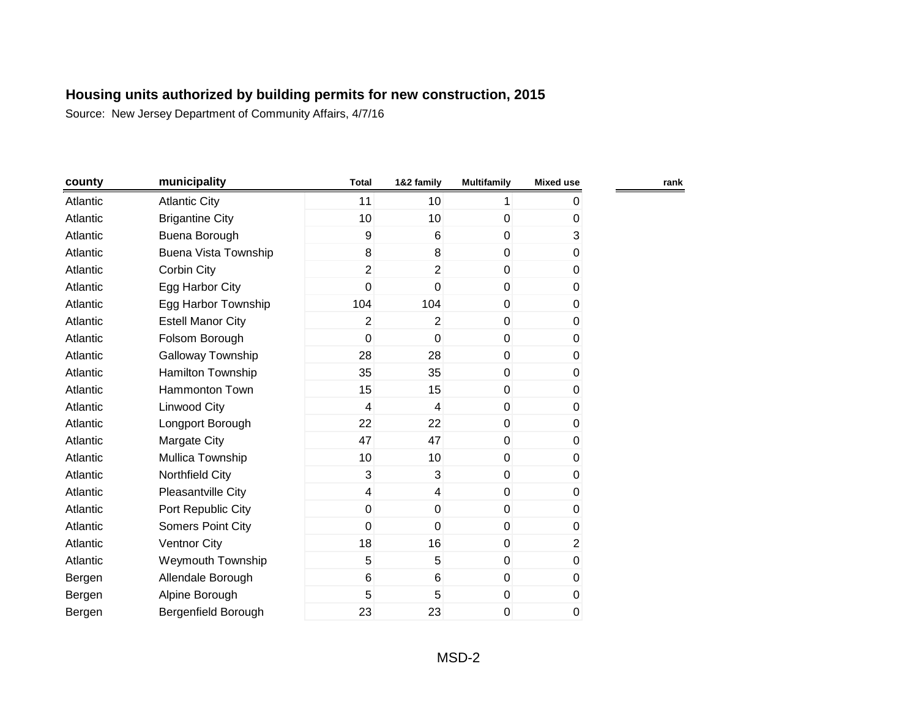| county   | municipality                | <b>Total</b>   | 1&2 family      | <b>Multifamily</b> | <b>Mixed use</b> | rank |
|----------|-----------------------------|----------------|-----------------|--------------------|------------------|------|
| Atlantic | <b>Atlantic City</b>        | 11             | 10 <sup>1</sup> | 1                  | 0                |      |
| Atlantic | <b>Brigantine City</b>      | 10             | 10              | 0                  | 0                |      |
| Atlantic | Buena Borough               | 9              | 6               | $\mathbf 0$        | 3                |      |
| Atlantic | <b>Buena Vista Township</b> | 8              | 8               | $\mathbf 0$        | 0                |      |
| Atlantic | Corbin City                 | $\overline{2}$ | $\overline{2}$  | $\mathbf{0}$       | $\pmb{0}$        |      |
| Atlantic | Egg Harbor City             | 0              | $\mathbf 0$     | $\mathbf 0$        | 0                |      |
| Atlantic | Egg Harbor Township         | 104            | 104             | $\mathbf 0$        | 0                |      |
| Atlantic | <b>Estell Manor City</b>    | 2              | 2               | $\overline{0}$     | 0                |      |
| Atlantic | Folsom Borough              | $\mathbf 0$    | $\mathbf 0$     | $\mathbf 0$        | 0                |      |
| Atlantic | Galloway Township           | 28             | 28              | $\mathbf 0$        | 0                |      |
| Atlantic | Hamilton Township           | 35             | 35              | $\mathbf{0}$       | 0                |      |
| Atlantic | <b>Hammonton Town</b>       | 15             | 15              | $\mathbf 0$        | 0                |      |
| Atlantic | Linwood City                | 4              | 4               | $\mathbf 0$        | 0                |      |
| Atlantic | Longport Borough            | 22             | 22              | $\mathbf 0$        | 0                |      |
| Atlantic | Margate City                | 47             | 47              | $\mathbf 0$        | $\pmb{0}$        |      |
| Atlantic | Mullica Township            | 10             | 10 <sup>1</sup> | $\overline{0}$     | 0                |      |
| Atlantic | Northfield City             | 3              | 3               | $\overline{0}$     | 0                |      |
| Atlantic | Pleasantville City          | $\overline{4}$ | $\overline{4}$  | $\boldsymbol{0}$   | 0                |      |
| Atlantic | Port Republic City          | $\pmb{0}$      | $\pmb{0}$       | $\pmb{0}$          | 0                |      |
| Atlantic | <b>Somers Point City</b>    | 0              | $\mathbf 0$     | $\mathbf 0$        | 0                |      |
| Atlantic | <b>Ventnor City</b>         | 18             | 16              | $\mathbf 0$        | $\overline{2}$   |      |
| Atlantic | <b>Weymouth Township</b>    | 5              | 5               | $\mathbf 0$        | $\pmb{0}$        |      |
| Bergen   | Allendale Borough           | 6              | $6\phantom{1}6$ | $\mathbf 0$        | $\pmb{0}$        |      |
| Bergen   | Alpine Borough              | 5              | 5               | $\mathbf 0$        | 0                |      |
| Bergen   | Bergenfield Borough         | 23             | 23              | 0                  | 0                |      |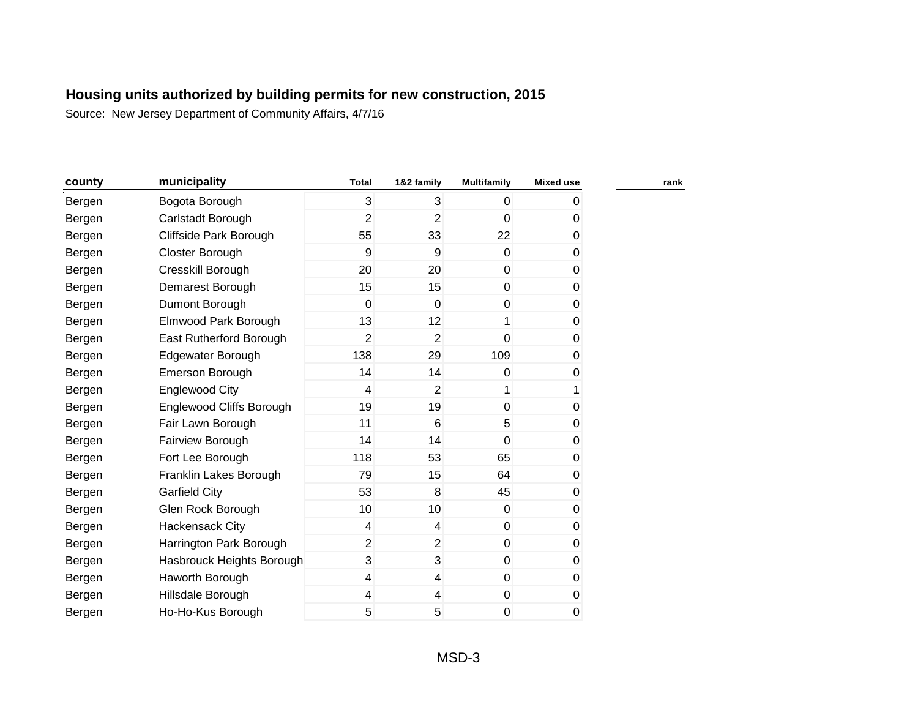| county | municipality                    | <b>Total</b>   | 1&2 family              | <b>Multifamily</b> | <b>Mixed use</b> | rank |
|--------|---------------------------------|----------------|-------------------------|--------------------|------------------|------|
| Bergen | Bogota Borough                  | 3              | $\overline{3}$          | $\overline{0}$     | 0                |      |
| Bergen | Carlstadt Borough               | $\overline{2}$ | $\overline{2}$          | 0                  | 0                |      |
| Bergen | Cliffside Park Borough          | 55             | 33                      | 22                 | $\pmb{0}$        |      |
| Bergen | Closter Borough                 | 9              | $\boldsymbol{9}$        | $\overline{0}$     | 0                |      |
| Bergen | Cresskill Borough               | 20             | 20                      | $\overline{0}$     | $\pmb{0}$        |      |
| Bergen | Demarest Borough                | 15             | 15                      | $\overline{0}$     | 0                |      |
| Bergen | Dumont Borough                  | $\mathbf 0$    | $\mathbf 0$             | $\pmb{0}$          | 0                |      |
| Bergen | Elmwood Park Borough            | 13             | 12                      | 1                  | 0                |      |
| Bergen | East Rutherford Borough         | 2              | $\overline{2}$          | 0                  | 0                |      |
| Bergen | Edgewater Borough               | 138            | 29                      | 109                | 0                |      |
| Bergen | Emerson Borough                 | 14             | 14                      | $\Omega$           | 0                |      |
| Bergen | <b>Englewood City</b>           | 4              | $\overline{2}$          | 1                  | 1                |      |
| Bergen | <b>Englewood Cliffs Borough</b> | 19             | 19                      | $\mathbf{0}$       | 0                |      |
| Bergen | Fair Lawn Borough               | 11             | 6                       | 5                  | 0                |      |
| Bergen | Fairview Borough                | 14             | 14                      | $\mathbf{0}$       | 0                |      |
| Bergen | Fort Lee Borough                | 118            | 53                      | 65                 | 0                |      |
| Bergen | Franklin Lakes Borough          | 79             | 15                      | 64                 | 0                |      |
| Bergen | <b>Garfield City</b>            | 53             | 8                       | 45                 | 0                |      |
| Bergen | Glen Rock Borough               | 10             | 10 <sup>1</sup>         | $\mathbf 0$        | 0                |      |
| Bergen | Hackensack City                 | $\overline{4}$ | $\overline{4}$          | $\overline{0}$     | 0                |      |
| Bergen | Harrington Park Borough         | $\overline{2}$ | $\overline{2}$          | $\mathbf 0$        | 0                |      |
| Bergen | Hasbrouck Heights Borough       | 3              | 3                       | $\mathbf 0$        | 0                |      |
| Bergen | Haworth Borough                 | 4              | $\overline{\mathbf{r}}$ | $\mathbf 0$        | $\pmb{0}$        |      |
| Bergen | Hillsdale Borough               | 4              | 4                       | $\pmb{0}$          | 0                |      |
| Bergen | Ho-Ho-Kus Borough               | 5              | 5                       | 0                  | 0                |      |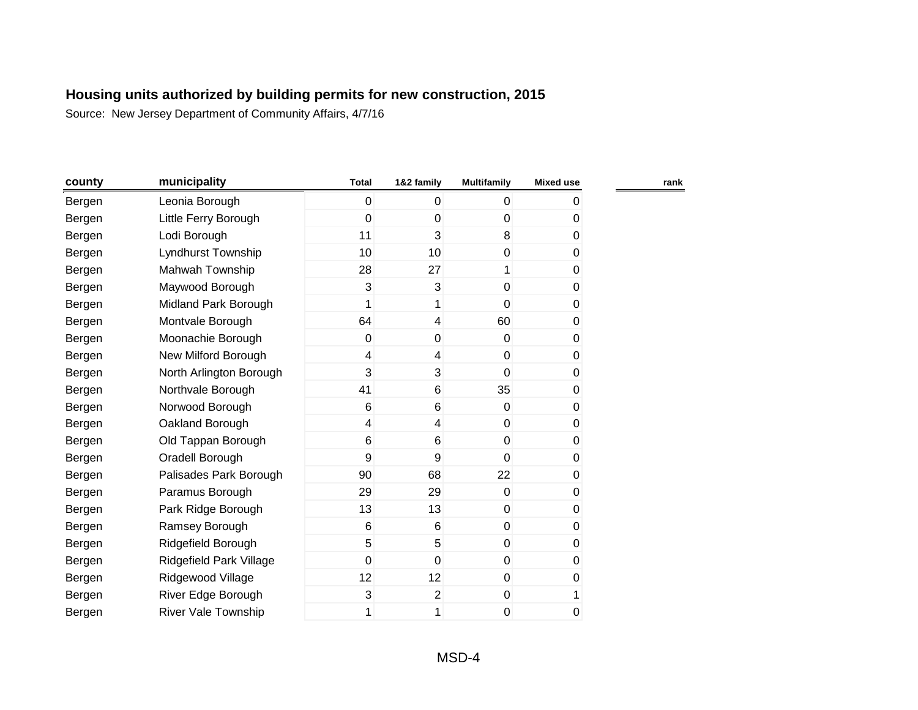| county | municipality               | <b>Total</b> | 1&2 family               | <b>Multifamily</b> | <b>Mixed use</b> |  |
|--------|----------------------------|--------------|--------------------------|--------------------|------------------|--|
| Bergen | Leonia Borough             | 0            | $\overline{0}$           | $\overline{0}$     | 0                |  |
| Bergen | Little Ferry Borough       | 0            | $\mathbf 0$              | $\mathbf{0}$       | 0                |  |
| Bergen | Lodi Borough               | 11           | 3                        | 8                  | 0                |  |
| Bergen | Lyndhurst Township         | 10           | 10 <sup>1</sup>          | $\overline{0}$     | 0                |  |
| Bergen | Mahwah Township            | 28           | 27                       | 1                  | 0                |  |
| Bergen | Maywood Borough            | 3            | 3                        | $\mathbf 0$        | 0                |  |
| Bergen | Midland Park Borough       | 1            | 1                        | $\mathbf{0}$       | 0                |  |
| Bergen | Montvale Borough           | 64           | 4                        | 60                 | 0                |  |
| Bergen | Moonachie Borough          | 0            | 0                        | $\overline{0}$     | 0                |  |
| Bergen | New Milford Borough        | 4            | $\overline{\mathcal{L}}$ | $\overline{0}$     | 0                |  |
| Bergen | North Arlington Borough    | 3            | $\overline{3}$           | $\overline{0}$     | 0                |  |
| Bergen | Northvale Borough          | 41           | 6                        | 35                 | 0                |  |
| Bergen | Norwood Borough            | 6            | 6                        | $\overline{0}$     | 0                |  |
| Bergen | Oakland Borough            | 4            | 4                        | $\boldsymbol{0}$   | 0                |  |
| Bergen | Old Tappan Borough         | 6            | 6                        | $\overline{0}$     | 0                |  |
| Bergen | Oradell Borough            | 9            | 9                        | $\overline{0}$     | 0                |  |
| Bergen | Palisades Park Borough     | 90           | 68                       | 22                 | 0                |  |
| Bergen | Paramus Borough            | 29           | 29                       | $\overline{0}$     | 0                |  |
| Bergen | Park Ridge Borough         | 13           | 13                       | $\boldsymbol{0}$   | 0                |  |
| Bergen | Ramsey Borough             | 6            | $\,6$                    | $\boldsymbol{0}$   | 0                |  |
| Bergen | Ridgefield Borough         | 5            | 5                        | $\overline{0}$     | 0                |  |
| Bergen | Ridgefield Park Village    | 0            | $\mathbf 0$              | $\overline{0}$     | 0                |  |
| Bergen | Ridgewood Village          | 12           | 12                       | $\overline{0}$     | 0                |  |
| Bergen | River Edge Borough         | 3            | $\overline{2}$           | $\mathbf 0$        | 1                |  |
| Bergen | <b>River Vale Township</b> | 1            | 1                        | $\mathbf 0$        | 0                |  |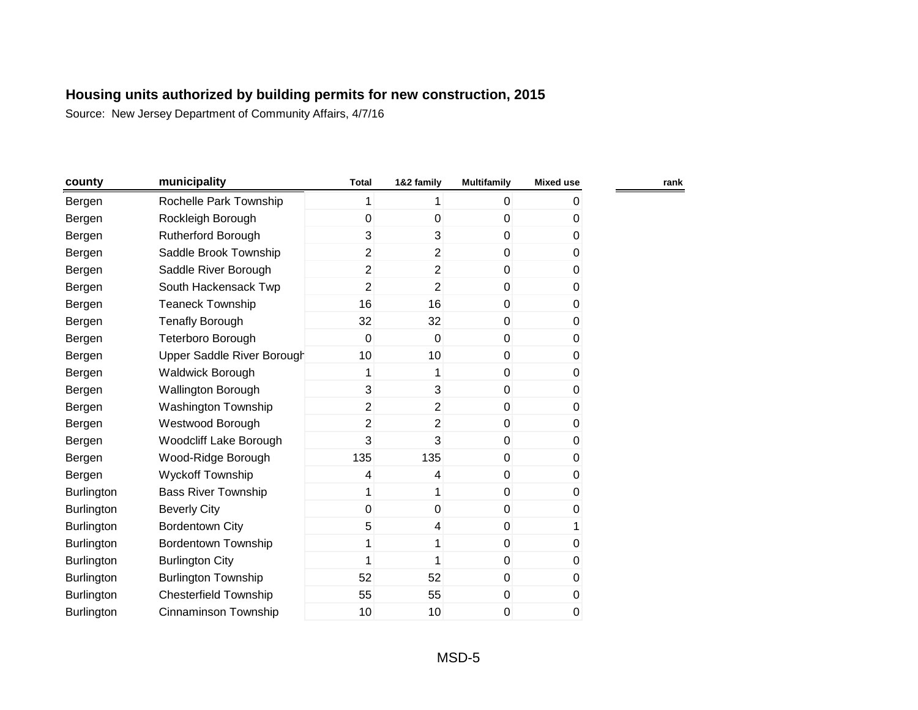| county            | municipality                  | <b>Total</b>   | 1&2 family     | <b>Multifamily</b> | <b>Mixed use</b> |
|-------------------|-------------------------------|----------------|----------------|--------------------|------------------|
| Bergen            | Rochelle Park Township        | 1              | 1              | 0                  | 0                |
| Bergen            | Rockleigh Borough             | 0              | $\mathbf 0$    | 0                  | 0                |
| Bergen            | <b>Rutherford Borough</b>     | 3              | 3              | 0                  | 0                |
| Bergen            | Saddle Brook Township         | $\overline{2}$ | $\overline{2}$ | 0                  | 0                |
| Bergen            | Saddle River Borough          | $\overline{2}$ | $\overline{2}$ | 0                  | 0                |
| Bergen            | South Hackensack Twp          | $\overline{2}$ | 2              | 0                  | 0                |
| Bergen            | <b>Teaneck Township</b>       | 16             | 16             | 0                  | 0                |
| Bergen            | <b>Tenafly Borough</b>        | 32             | 32             | $\pmb{0}$          | 0                |
| Bergen            | Teterboro Borough             | 0              | 0              | 0                  | 0                |
| Bergen            | Upper Saddle River Borough    | 10             | 10             | 0                  | 0                |
| Bergen            | Waldwick Borough              | 1              | 1              | 0                  | 0                |
| Bergen            | Wallington Borough            | 3              | 3              | 0                  | 0                |
| Bergen            | <b>Washington Township</b>    | $\overline{c}$ | $\overline{2}$ | 0                  | 0                |
| Bergen            | Westwood Borough              | $\overline{2}$ | $\overline{2}$ | 0                  | 0                |
| Bergen            | <b>Woodcliff Lake Borough</b> | 3              | 3              | 0                  | 0                |
| Bergen            | Wood-Ridge Borough            | 135            | 135            | 0                  | 0                |
| Bergen            | <b>Wyckoff Township</b>       | 4              | 4              | 0                  | $\overline{0}$   |
| <b>Burlington</b> | <b>Bass River Township</b>    | 1              | 1              | 0                  | 0                |
| <b>Burlington</b> | <b>Beverly City</b>           | 0              | 0              | 0                  | 0                |
| Burlington        | Bordentown City               | 5              | 4              | 0                  |                  |
| Burlington        | <b>Bordentown Township</b>    | 1              |                | 0                  | 0                |
| <b>Burlington</b> | <b>Burlington City</b>        | 1              | 1              | 0                  | 0                |
| Burlington        | <b>Burlington Township</b>    | 52             | 52             | 0                  | 0                |
| <b>Burlington</b> | <b>Chesterfield Township</b>  | 55             | 55             | 0                  | 0                |
| Burlington        | Cinnaminson Township          | 10             | 10             | 0                  | 0                |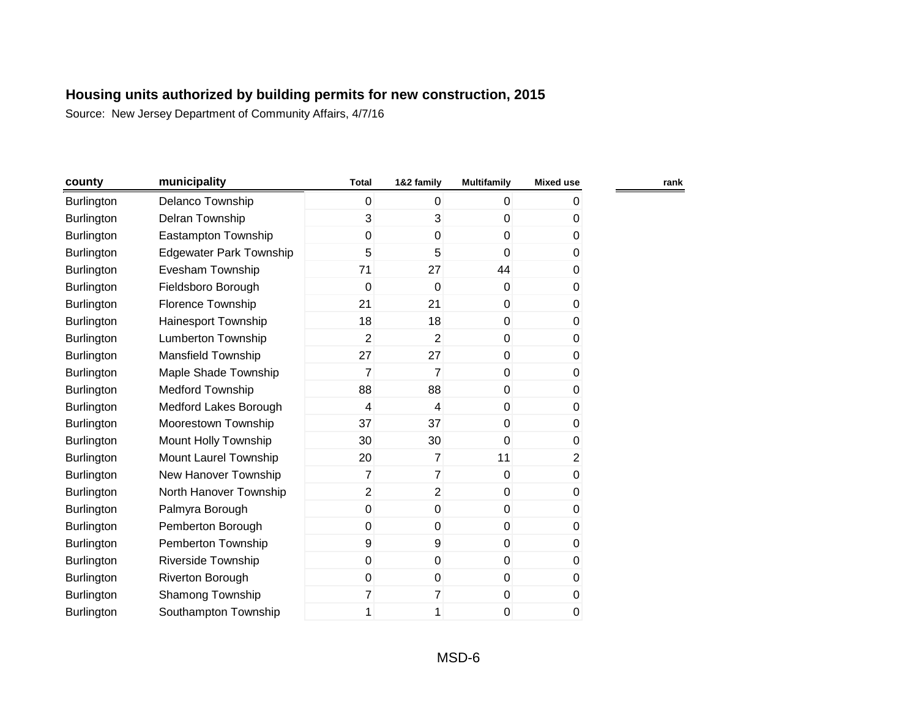| county            | municipality                   | <b>Total</b>   | 1&2 family     | <b>Multifamily</b> | <b>Mixed use</b> | rank |
|-------------------|--------------------------------|----------------|----------------|--------------------|------------------|------|
| Burlington        | Delanco Township               | $\overline{0}$ | $\mathbf{0}$   | $\mathbf{0}$       | 0                |      |
| Burlington        | Delran Township                | 3              | 3              | 0                  | 0                |      |
| <b>Burlington</b> | Eastampton Township            | 0              | 0              | 0                  | 0                |      |
| <b>Burlington</b> | <b>Edgewater Park Township</b> | 5              | 5              | $\mathbf 0$        | 0                |      |
| <b>Burlington</b> | Evesham Township               | 71             | 27             | 44                 | 0                |      |
| Burlington        | Fieldsboro Borough             | 0              | $\mathbf 0$    | $\mathbf 0$        | 0                |      |
| Burlington        | Florence Township              | 21             | 21             | $\mathbf 0$        | 0                |      |
| Burlington        | Hainesport Township            | 18             | 18             | $\mathbf 0$        | 0                |      |
| <b>Burlington</b> | Lumberton Township             | $\overline{2}$ | $\overline{2}$ | 0                  | 0                |      |
| <b>Burlington</b> | Mansfield Township             | 27             | 27             | 0                  | 0                |      |
| <b>Burlington</b> | Maple Shade Township           | 7              | $\overline{7}$ | 0                  | 0                |      |
| <b>Burlington</b> | <b>Medford Township</b>        | 88             | 88             | 0                  | 0                |      |
| <b>Burlington</b> | Medford Lakes Borough          | 4              | 4              | $\mathbf{0}$       | 0                |      |
| Burlington        | Moorestown Township            | 37             | 37             | 0                  | 0                |      |
| Burlington        | Mount Holly Township           | 30             | 30             | $\Omega$           | 0                |      |
| Burlington        | Mount Laurel Township          | 20             | $\overline{7}$ | 11                 | $\overline{2}$   |      |
| <b>Burlington</b> | New Hanover Township           | 7              | $\overline{7}$ | $\mathbf 0$        | 0                |      |
| Burlington        | North Hanover Township         | $\overline{2}$ | $\overline{2}$ | $\mathbf 0$        | 0                |      |
| <b>Burlington</b> | Palmyra Borough                | $\overline{0}$ | $\mathbf 0$    | 0                  | 0                |      |
| <b>Burlington</b> | Pemberton Borough              | $\overline{0}$ | 0              | $\mathbf 0$        | 0                |      |
| <b>Burlington</b> | Pemberton Township             | 9              | 9              | $\mathbf 0$        | 0                |      |
| <b>Burlington</b> | Riverside Township             | 0              | 0              | 0                  | 0                |      |
| Burlington        | Riverton Borough               | 0              | 0              | 0                  | 0                |      |
| <b>Burlington</b> | Shamong Township               | 7              | 7              | 0                  | 0                |      |
| <b>Burlington</b> | Southampton Township           | 1              | 1              | 0                  | 0                |      |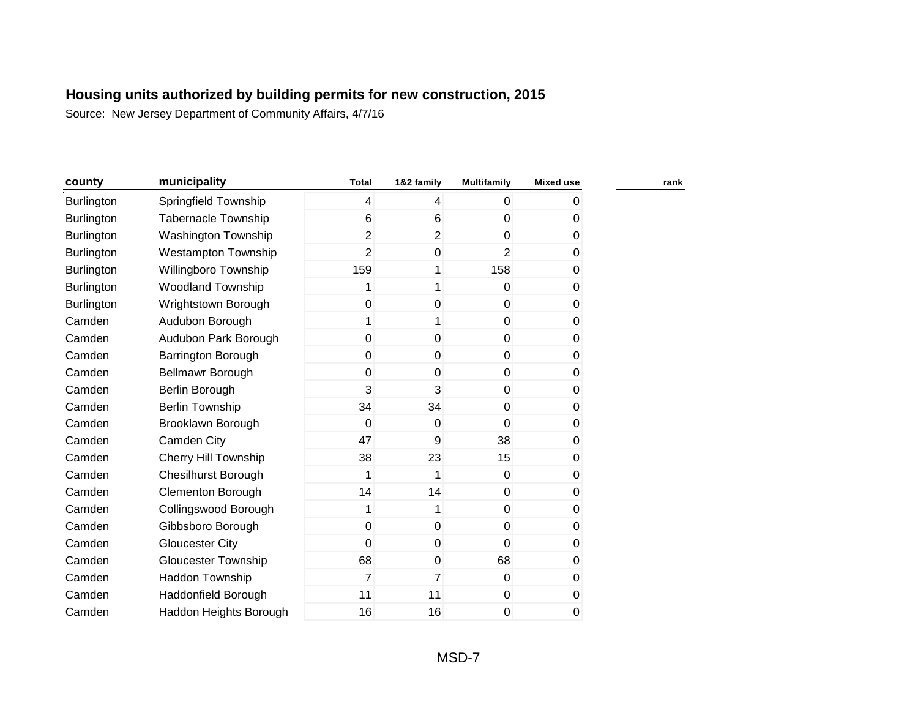| county            | municipality               | <b>Total</b>   | 1&2 family              | <b>Multifamily</b> | <b>Mixed use</b> |  |
|-------------------|----------------------------|----------------|-------------------------|--------------------|------------------|--|
| Burlington        | Springfield Township       | 4              | $\overline{\mathbf{4}}$ | $\overline{0}$     | 0                |  |
| <b>Burlington</b> | <b>Tabernacle Township</b> | 6              | 6                       | 0                  | 0                |  |
| Burlington        | Washington Township        | $\overline{2}$ | $\overline{2}$          | $\overline{0}$     | 0                |  |
| <b>Burlington</b> | <b>Westampton Township</b> | $\overline{2}$ | 0                       | $\overline{2}$     | 0                |  |
| <b>Burlington</b> | Willingboro Township       | 159            | 1                       | 158                | 0                |  |
| <b>Burlington</b> | <b>Woodland Township</b>   | 1              | 1                       | $\overline{0}$     | 0                |  |
| <b>Burlington</b> | Wrightstown Borough        | 0              | 0                       | $\overline{0}$     | 0                |  |
| Camden            | Audubon Borough            | 1              | 1                       | $\overline{0}$     | 0                |  |
| Camden            | Audubon Park Borough       | 0              | 0                       | $\overline{0}$     | 0                |  |
| Camden            | Barrington Borough         | 0              | $\mathbf 0$             | $\overline{0}$     | 0                |  |
| Camden            | Bellmawr Borough           | 0              | $\mathbf 0$             | $\overline{0}$     | 0                |  |
| Camden            | Berlin Borough             | 3              | 3                       | $\overline{0}$     | 0                |  |
| Camden            | <b>Berlin Township</b>     | 34             | 34                      | $\overline{0}$     | 0                |  |
| Camden            | Brooklawn Borough          | 0              | $\mathbf 0$             | $\overline{0}$     | 0                |  |
| Camden            | Camden City                | 47             | 9                       | 38                 | 0                |  |
| Camden            | Cherry Hill Township       | 38             | 23                      | 15                 | 0                |  |
| Camden            | <b>Chesilhurst Borough</b> | 1              | 1                       | $\overline{0}$     | 0                |  |
| Camden            | <b>Clementon Borough</b>   | 14             | 14                      | $\overline{0}$     | 0                |  |
| Camden            | Collingswood Borough       | 1              | 1                       | $\overline{0}$     | 0                |  |
| Camden            | Gibbsboro Borough          | 0              | $\mathbf 0$             | $\overline{0}$     | 0                |  |
| Camden            | <b>Gloucester City</b>     | 0              | $\mathbf 0$             | $\overline{0}$     | 0                |  |
| Camden            | <b>Gloucester Township</b> | 68             | 0                       | 68                 | 0                |  |
| Camden            | Haddon Township            | 7              | $\overline{7}$          | $\overline{0}$     | 0                |  |
| Camden            | Haddonfield Borough        | 11             | 11                      | $\boldsymbol{0}$   | 0                |  |
| Camden            | Haddon Heights Borough     | 16             | 16                      | 0                  | 0                |  |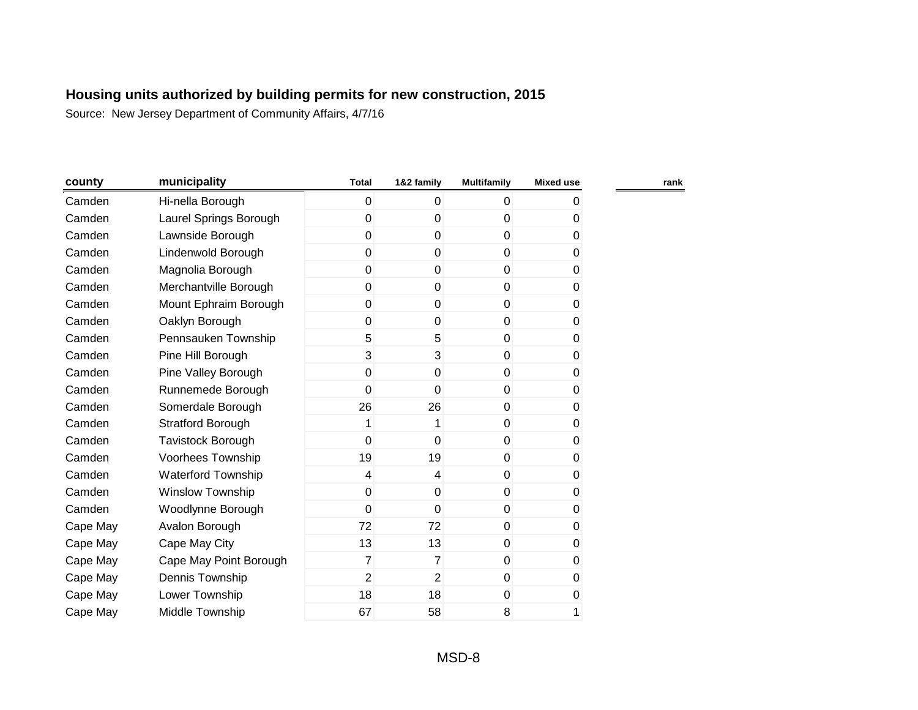| county   | municipality              | <b>Total</b>   | 1&2 family              | <b>Multifamily</b> | <b>Mixed use</b> | rank |
|----------|---------------------------|----------------|-------------------------|--------------------|------------------|------|
| Camden   | Hi-nella Borough          | 0              | $\overline{0}$          | $\overline{0}$     | 0                |      |
| Camden   | Laurel Springs Borough    | 0              | $\mathbf 0$             | 0                  | 0                |      |
| Camden   | Lawnside Borough          | 0              | 0                       | $\mathbf 0$        | 0                |      |
| Camden   | Lindenwold Borough        | 0              | 0                       | $\mathbf 0$        | 0                |      |
| Camden   | Magnolia Borough          | 0              | $\mathbf{0}$            | $\mathbf 0$        | 0                |      |
| Camden   | Merchantville Borough     | 0              | $\mathbf{0}$            | $\mathbf 0$        | 0                |      |
| Camden   | Mount Ephraim Borough     | 0              | $\mathbf{0}$            | $\mathbf 0$        | $\pmb{0}$        |      |
| Camden   | Oaklyn Borough            | 0              | $\mathbf 0$             | $\overline{0}$     | 0                |      |
| Camden   | Pennsauken Township       | 5              | 5                       | 0                  | 0                |      |
| Camden   | Pine Hill Borough         | 3              | $\overline{3}$          | $\boldsymbol{0}$   | $\pmb{0}$        |      |
| Camden   | Pine Valley Borough       | 0              | 0                       | 0                  | 0                |      |
| Camden   | Runnemede Borough         | 0              | $\mathbf 0$             | $\overline{0}$     | 0                |      |
| Camden   | Somerdale Borough         | 26             | 26                      | $\overline{0}$     | 0                |      |
| Camden   | <b>Stratford Borough</b>  | 1              | 1                       | $\overline{0}$     | 0                |      |
| Camden   | <b>Tavistock Borough</b>  | 0              | $\mathbf 0$             | $\overline{0}$     | $\pmb{0}$        |      |
| Camden   | Voorhees Township         | 19             | 19                      | $\mathbf 0$        | 0                |      |
| Camden   | <b>Waterford Township</b> | 4              | $\overline{\mathbf{4}}$ | $\boldsymbol{0}$   | $\pmb{0}$        |      |
| Camden   | <b>Winslow Township</b>   | 0              | $\mathbf 0$             | 0                  | 0                |      |
| Camden   | Woodlynne Borough         | 0              | $\mathbf 0$             | $\overline{0}$     | $\pmb{0}$        |      |
| Cape May | Avalon Borough            | 72             | 72                      | $\overline{0}$     | 0                |      |
| Cape May | Cape May City             | 13             | 13                      | $\overline{0}$     | 0                |      |
| Cape May | Cape May Point Borough    | $\overline{7}$ | $\overline{7}$          | $\overline{0}$     | 0                |      |
| Cape May | Dennis Township           | $\overline{2}$ | $\overline{2}$          | $\overline{0}$     | $\pmb{0}$        |      |
| Cape May | Lower Township            | 18             | 18                      | 0                  | $\pmb{0}$        |      |
| Cape May | Middle Township           | 67             | 58                      | 8                  | 1                |      |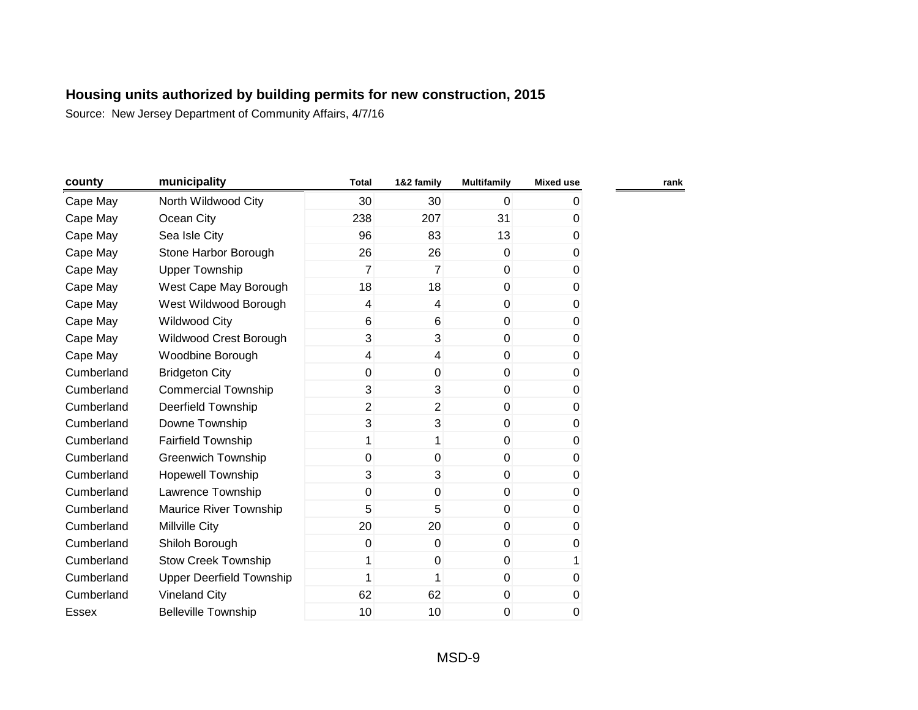| county     | municipality                    | <b>Total</b>   | 1&2 family              | <b>Multifamily</b> | <b>Mixed use</b> | rank |
|------------|---------------------------------|----------------|-------------------------|--------------------|------------------|------|
| Cape May   | North Wildwood City             | 30             | 30                      | 0                  | 0                |      |
| Cape May   | Ocean City                      | 238            | 207                     | 31                 | 0                |      |
| Cape May   | Sea Isle City                   | 96             | 83                      | 13                 | 0                |      |
| Cape May   | Stone Harbor Borough            | 26             | 26                      | $\mathbf 0$        | 0                |      |
| Cape May   | <b>Upper Township</b>           | 7              | $\overline{7}$          | $\mathbf 0$        | 0                |      |
| Cape May   | West Cape May Borough           | 18             | 18                      | $\mathbf 0$        | 0                |      |
| Cape May   | West Wildwood Borough           | $\overline{4}$ | $\overline{\mathbf{4}}$ | $\mathbf 0$        | 0                |      |
| Cape May   | <b>Wildwood City</b>            | 6              | 6                       | $\pmb{0}$          | $\pmb{0}$        |      |
| Cape May   | Wildwood Crest Borough          | 3              | 3                       | 0                  | 0                |      |
| Cape May   | Woodbine Borough                | 4              | $\overline{\mathbf{4}}$ | $\mathbf 0$        | 0                |      |
| Cumberland | <b>Bridgeton City</b>           | 0              | 0                       | $\Omega$           | 0                |      |
| Cumberland | <b>Commercial Township</b>      | 3              | 3                       | $\mathbf 0$        | 0                |      |
| Cumberland | Deerfield Township              | $\overline{2}$ | $\overline{2}$          | $\mathbf 0$        | 0                |      |
| Cumberland | Downe Township                  | 3              | 3                       | $\mathbf 0$        | 0                |      |
| Cumberland | <b>Fairfield Township</b>       | 1              | 1                       | $\mathbf 0$        | 0                |      |
| Cumberland | Greenwich Township              | 0              | $\mathbf 0$             | $\mathbf 0$        | 0                |      |
| Cumberland | <b>Hopewell Township</b>        | 3              | 3                       | $\mathbf 0$        | 0                |      |
| Cumberland | Lawrence Township               | 0              | 0                       | $\mathbf 0$        | 0                |      |
| Cumberland | Maurice River Township          | 5              | 5                       | $\mathbf 0$        | 0                |      |
| Cumberland | <b>Millville City</b>           | 20             | 20                      | $\mathbf 0$        | 0                |      |
| Cumberland | Shiloh Borough                  | 0              | $\mathbf 0$             | $\mathbf 0$        | 0                |      |
| Cumberland | <b>Stow Creek Township</b>      |                | 0                       | $\mathbf 0$        | 1                |      |
| Cumberland | <b>Upper Deerfield Township</b> |                |                         | $\mathbf 0$        | 0                |      |
| Cumberland | <b>Vineland City</b>            | 62             | 62                      | $\pmb{0}$          | 0                |      |
| Essex      | <b>Belleville Township</b>      | 10             | 10                      | 0                  | 0                |      |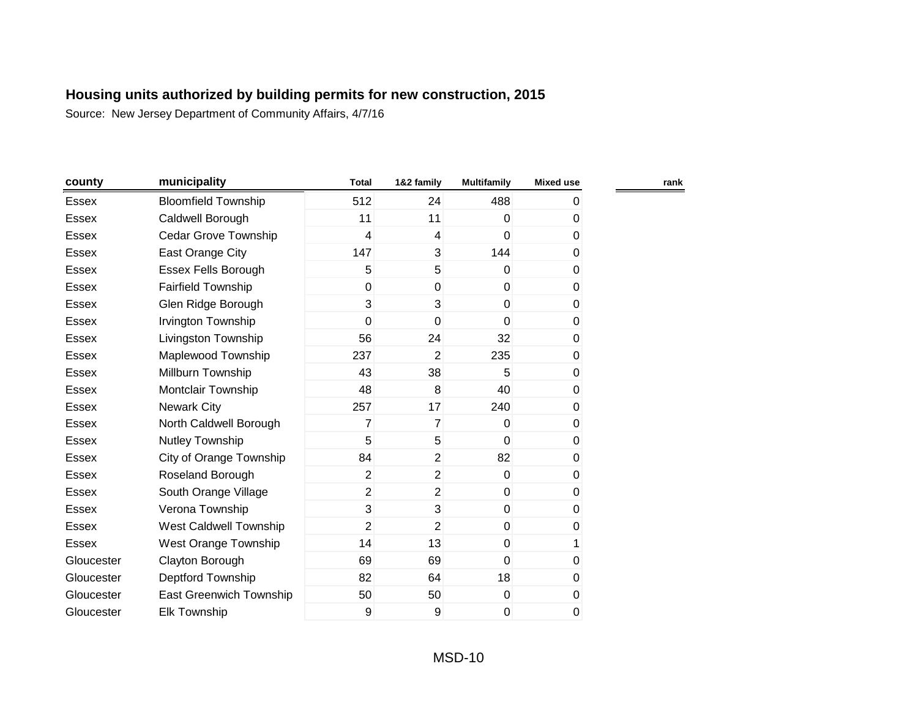| county       | municipality               | <b>Total</b>   | 1&2 family     | <b>Multifamily</b> | <b>Mixed use</b> | rank |
|--------------|----------------------------|----------------|----------------|--------------------|------------------|------|
| <b>Essex</b> | <b>Bloomfield Township</b> | 512            | 24             | 488                | 0                |      |
| <b>Essex</b> | Caldwell Borough           | 11             | 11             | $\Omega$           | 0                |      |
| Essex        | Cedar Grove Township       | 4              | $\overline{4}$ | $\overline{0}$     | 0                |      |
| <b>Essex</b> | East Orange City           | 147            | 3              | 144                | 0                |      |
| <b>Essex</b> | <b>Essex Fells Borough</b> | 5              | 5              | $\Omega$           | 0                |      |
| <b>Essex</b> | <b>Fairfield Township</b>  | 0              | $\mathbf 0$    | $\overline{0}$     | $\mathbf 0$      |      |
| <b>Essex</b> | Glen Ridge Borough         | 3              | 3              | $\overline{0}$     | $\pmb{0}$        |      |
| <b>Essex</b> | Irvington Township         | 0              | $\mathbf 0$    | $\overline{0}$     | 0                |      |
| <b>Essex</b> | Livingston Township        | 56             | 24             | 32                 | 0                |      |
| Essex        | Maplewood Township         | 237            | $\overline{2}$ | 235                | 0                |      |
| Essex        | Millburn Township          | 43             | 38             | 5                  | 0                |      |
| Essex        | Montclair Township         | 48             | 8              | 40                 | 0                |      |
| <b>Essex</b> | <b>Newark City</b>         | 257            | 17             | 240                | 0                |      |
| <b>Essex</b> | North Caldwell Borough     | 7              | $\overline{7}$ | $\overline{0}$     | 0                |      |
| <b>Essex</b> | Nutley Township            | 5              | 5              | $\overline{0}$     | 0                |      |
| <b>Essex</b> | City of Orange Township    | 84             | $\overline{2}$ | 82                 | 0                |      |
| <b>Essex</b> | Roseland Borough           | $\overline{2}$ | $\overline{2}$ | $\overline{0}$     | 0                |      |
| <b>Essex</b> | South Orange Village       | $\overline{2}$ | $\overline{2}$ | $\overline{0}$     | 0                |      |
| Essex        | Verona Township            | 3              | 3              | $\overline{0}$     | 0                |      |
| Essex        | West Caldwell Township     | $\overline{2}$ | $\overline{2}$ | $\overline{0}$     | 0                |      |
| <b>Essex</b> | West Orange Township       | 14             | 13             | $\boldsymbol{0}$   | 1                |      |
| Gloucester   | Clayton Borough            | 69             | 69             | $\overline{0}$     | 0                |      |
| Gloucester   | Deptford Township          | 82             | 64             | 18                 | 0                |      |
| Gloucester   | East Greenwich Township    | 50             | 50             | $\overline{0}$     | $\pmb{0}$        |      |
| Gloucester   | <b>Elk Township</b>        | 9              | 9              | 0                  | 0                |      |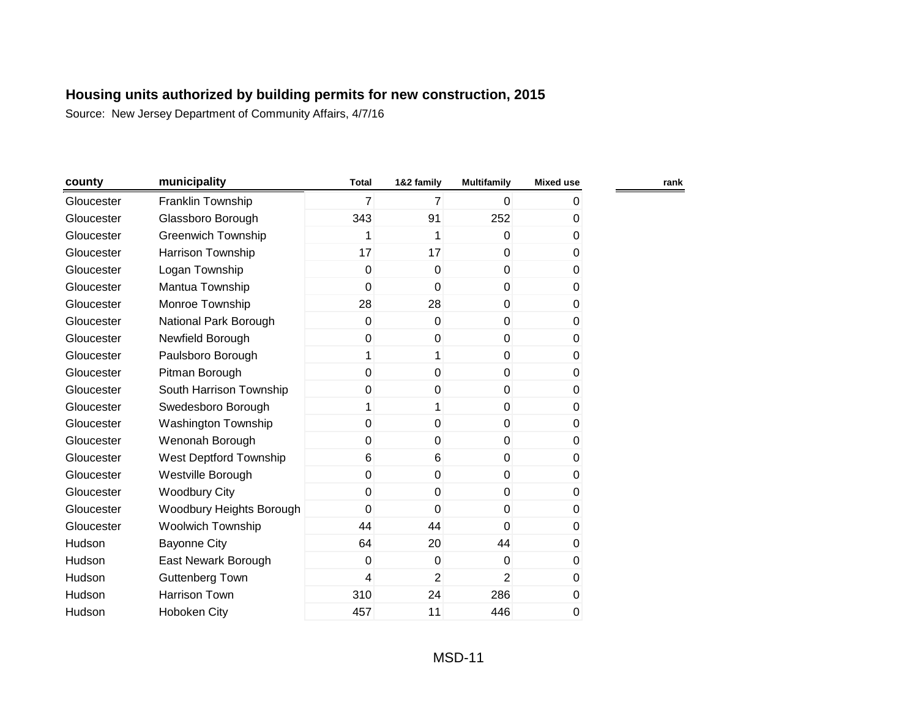| county     | municipality              | <b>Total</b> | 1&2 family     | <b>Multifamily</b> | <b>Mixed use</b> | rank |
|------------|---------------------------|--------------|----------------|--------------------|------------------|------|
| Gloucester | Franklin Township         | 7            | $\overline{7}$ | $\overline{0}$     | 0                |      |
| Gloucester | Glassboro Borough         | 343          | 91             | 252                | 0                |      |
| Gloucester | <b>Greenwich Township</b> | 1            | 1              | $\overline{0}$     | 0                |      |
| Gloucester | <b>Harrison Township</b>  | 17           | 17             | $\overline{0}$     | 0                |      |
| Gloucester | Logan Township            | 0            | $\mathbf{0}$   | $\overline{0}$     | 0                |      |
| Gloucester | Mantua Township           | 0            | $\mathbf 0$    | $\overline{0}$     | 0                |      |
| Gloucester | Monroe Township           | 28           | 28             | $\overline{0}$     | 0                |      |
| Gloucester | National Park Borough     | 0            | 0              | $\overline{0}$     | 0                |      |
| Gloucester | Newfield Borough          | 0            | 0              | $\overline{0}$     | 0                |      |
| Gloucester | Paulsboro Borough         | 1            | 1              | $\overline{0}$     | 0                |      |
| Gloucester | Pitman Borough            | 0            | $\mathbf 0$    | $\overline{0}$     | 0                |      |
| Gloucester | South Harrison Township   | 0            | $\mathbf 0$    | $\overline{0}$     | 0                |      |
| Gloucester | Swedesboro Borough        | 1            | 1              | $\overline{0}$     | 0                |      |
| Gloucester | Washington Township       | 0            | $\mathbf{0}$   | $\overline{0}$     | 0                |      |
| Gloucester | Wenonah Borough           | 0            | $\Omega$       | $\overline{0}$     | 0                |      |
| Gloucester | West Deptford Township    | 6            | 6              | $\overline{0}$     | 0                |      |
| Gloucester | Westville Borough         | 0            | $\Omega$       | $\overline{0}$     | 0                |      |
| Gloucester | <b>Woodbury City</b>      | 0            | $\mathbf 0$    | $\overline{0}$     | 0                |      |
| Gloucester | Woodbury Heights Borough  | 0            | 0              | $\overline{0}$     | 0                |      |
| Gloucester | <b>Woolwich Township</b>  | 44           | 44             | $\Omega$           | 0                |      |
| Hudson     | <b>Bayonne City</b>       | 64           | 20             | 44                 | 0                |      |
| Hudson     | East Newark Borough       | 0            | $\mathbf 0$    | $\overline{0}$     | 0                |      |
| Hudson     | <b>Guttenberg Town</b>    | 4            | $\overline{2}$ | $\overline{2}$     | 0                |      |
| Hudson     | Harrison Town             | 310          | 24             | 286                | 0                |      |
| Hudson     | Hoboken City              | 457          | 11             | 446                | 0                |      |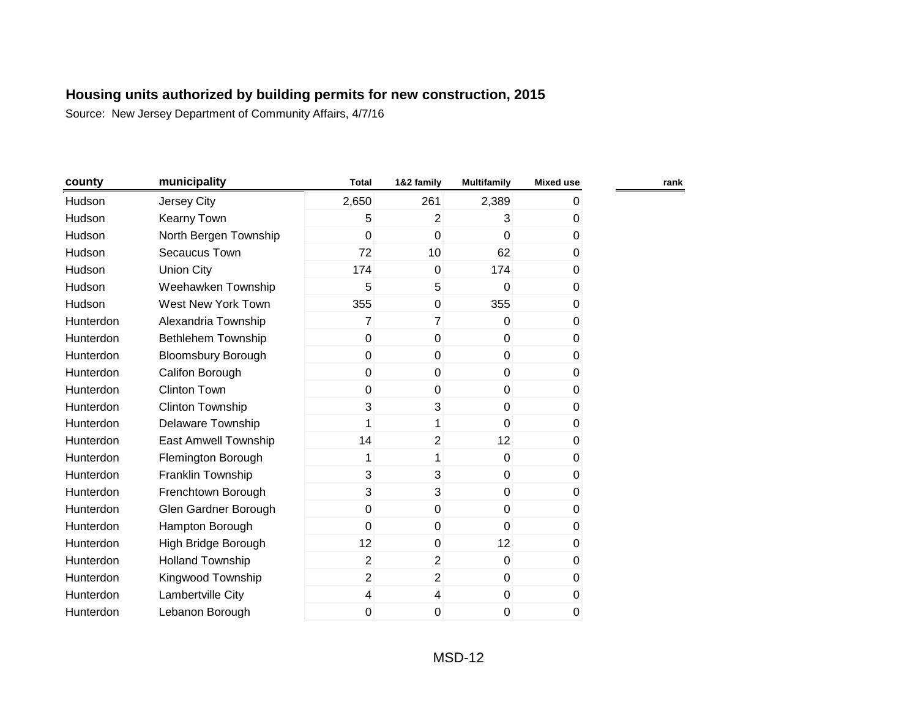| county    | municipality                | <b>Total</b>   | 1&2 family       | <b>Multifamily</b> | <b>Mixed use</b> | rank |
|-----------|-----------------------------|----------------|------------------|--------------------|------------------|------|
| Hudson    | Jersey City                 | 2,650          | 261              | 2,389              | 0                |      |
| Hudson    | <b>Kearny Town</b>          | 5              | $\overline{2}$   | 3                  | 0                |      |
| Hudson    | North Bergen Township       | 0              | $\mathbf 0$      | 0                  | 0                |      |
| Hudson    | Secaucus Town               | 72             | 10               | 62                 | 0                |      |
| Hudson    | <b>Union City</b>           | 174            | 0                | 174                | 0                |      |
| Hudson    | Weehawken Township          | 5              | 5                | 0                  | $\pmb{0}$        |      |
| Hudson    | West New York Town          | 355            | 0                | 355                | 0                |      |
| Hunterdon | Alexandria Township         | 7              | $\overline{7}$   | 0                  | 0                |      |
| Hunterdon | <b>Bethlehem Township</b>   | $\overline{0}$ | 0                | $\mathbf 0$        | 0                |      |
| Hunterdon | <b>Bloomsbury Borough</b>   | $\mathbf 0$    | $\mathbf 0$      | $\mathbf 0$        | 0                |      |
| Hunterdon | Califon Borough             | 0              | 0                | $\mathbf{0}$       | 0                |      |
| Hunterdon | <b>Clinton Town</b>         | 0              | 0                | $\mathbf 0$        | 0                |      |
| Hunterdon | <b>Clinton Township</b>     | 3              | 3                | $\mathbf{0}$       | 0                |      |
| Hunterdon | Delaware Township           | 1              | 1                | $\mathbf 0$        | 0                |      |
| Hunterdon | <b>East Amwell Township</b> | 14             | $\overline{2}$   | 12                 | 0                |      |
| Hunterdon | Flemington Borough          | 1              | 1                | $\mathbf 0$        | 0                |      |
| Hunterdon | Franklin Township           | 3              | 3                | $\pmb{0}$          | $\pmb{0}$        |      |
| Hunterdon | Frenchtown Borough          | 3              | 3                | $\mathbf 0$        | 0                |      |
| Hunterdon | Glen Gardner Borough        | $\pmb{0}$      | $\boldsymbol{0}$ | $\mathbf 0$        | 0                |      |
| Hunterdon | Hampton Borough             | $\mathbf 0$    | 0                | 0                  | 0                |      |
| Hunterdon | High Bridge Borough         | 12             | 0                | 12                 | 0                |      |
| Hunterdon | <b>Holland Township</b>     | $\overline{2}$ | $\overline{2}$   | $\mathbf 0$        | 0                |      |
| Hunterdon | Kingwood Township           | $\overline{2}$ | $\overline{2}$   | $\mathbf 0$        | 0                |      |
| Hunterdon | Lambertville City           | 4              | 4                | $\pmb{0}$          | $\pmb{0}$        |      |
| Hunterdon | Lebanon Borough             | 0              | 0                | 0                  | $\pmb{0}$        |      |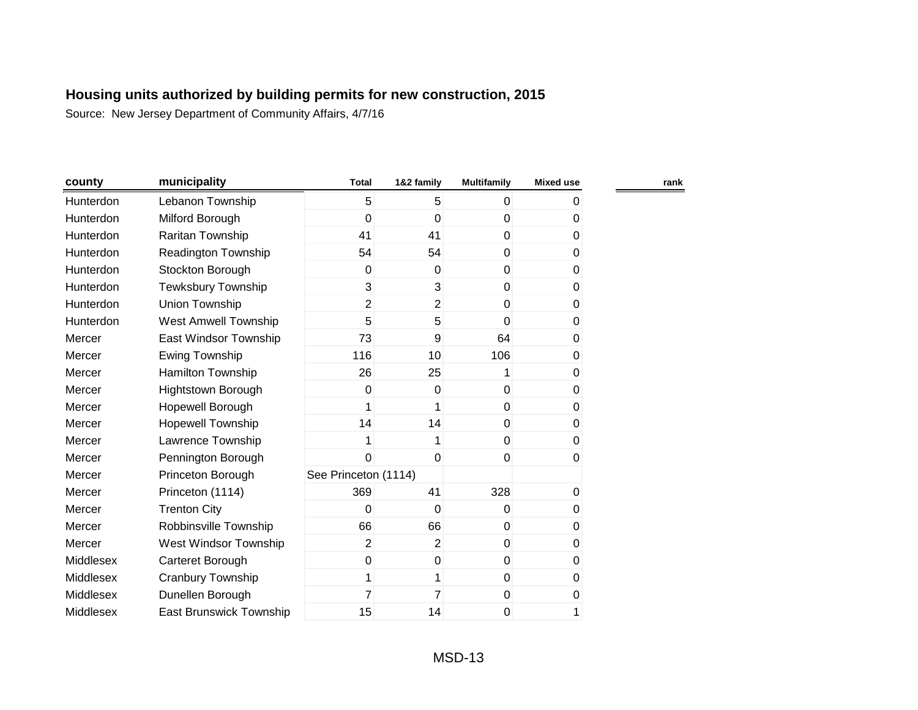| county    | municipality               | <b>Total</b>         | 1&2 family     | <b>Multifamily</b> | <b>Mixed use</b> | rank |
|-----------|----------------------------|----------------------|----------------|--------------------|------------------|------|
| Hunterdon | Lebanon Township           | 5                    | 5              | $\mathbf 0$        | 0                |      |
| Hunterdon | Milford Borough            | 0                    | $\overline{0}$ | $\Omega$           | 0                |      |
| Hunterdon | Raritan Township           | 41                   | 41             | $\mathbf 0$        | 0                |      |
| Hunterdon | <b>Readington Township</b> | 54                   | 54             | $\overline{0}$     | 0                |      |
| Hunterdon | Stockton Borough           | 0                    | 0              | $\mathbf 0$        | 0                |      |
| Hunterdon | <b>Tewksbury Township</b>  | 3                    | 3              | $\mathbf 0$        | 0                |      |
| Hunterdon | Union Township             | $\overline{2}$       | $\overline{2}$ | $\mathbf 0$        | 0                |      |
| Hunterdon | West Amwell Township       | 5                    | 5              | $\mathbf{0}$       | 0                |      |
| Mercer    | East Windsor Township      | 73                   | 9              | 64                 | 0                |      |
| Mercer    | Ewing Township             | 116                  | 10             | 106                | 0                |      |
| Mercer    | Hamilton Township          | 26                   | 25             |                    | 0                |      |
| Mercer    | Hightstown Borough         | 0                    | 0              | $\mathbf 0$        | 0                |      |
| Mercer    | Hopewell Borough           | 1                    | 1              | $\mathbf 0$        | 0                |      |
| Mercer    | Hopewell Township          | 14                   | 14             | $\mathbf 0$        | 0                |      |
| Mercer    | Lawrence Township          | 1                    | 1              | $\mathbf 0$        | 0                |      |
| Mercer    | Pennington Borough         | 0                    | $\mathbf 0$    | $\mathbf 0$        | 0                |      |
| Mercer    | Princeton Borough          | See Princeton (1114) |                |                    |                  |      |
| Mercer    | Princeton (1114)           | 369                  | 41             | 328                | 0                |      |
| Mercer    | <b>Trenton City</b>        | 0                    | $\mathbf 0$    | $\mathbf 0$        | 0                |      |
| Mercer    | Robbinsville Township      | 66                   | 66             | $\pmb{0}$          | 0                |      |
| Mercer    | West Windsor Township      | $\overline{2}$       | $\overline{2}$ | $\mathbf 0$        | 0                |      |
| Middlesex | Carteret Borough           | 0                    | 0              | $\mathbf 0$        | 0                |      |
| Middlesex | Cranbury Township          | 1                    | 1              | $\mathbf 0$        | 0                |      |
| Middlesex | Dunellen Borough           | 7                    | $\overline{7}$ | $\mathbf 0$        | 0                |      |
| Middlesex | East Brunswick Township    | 15                   | 14             | 0                  | 1                |      |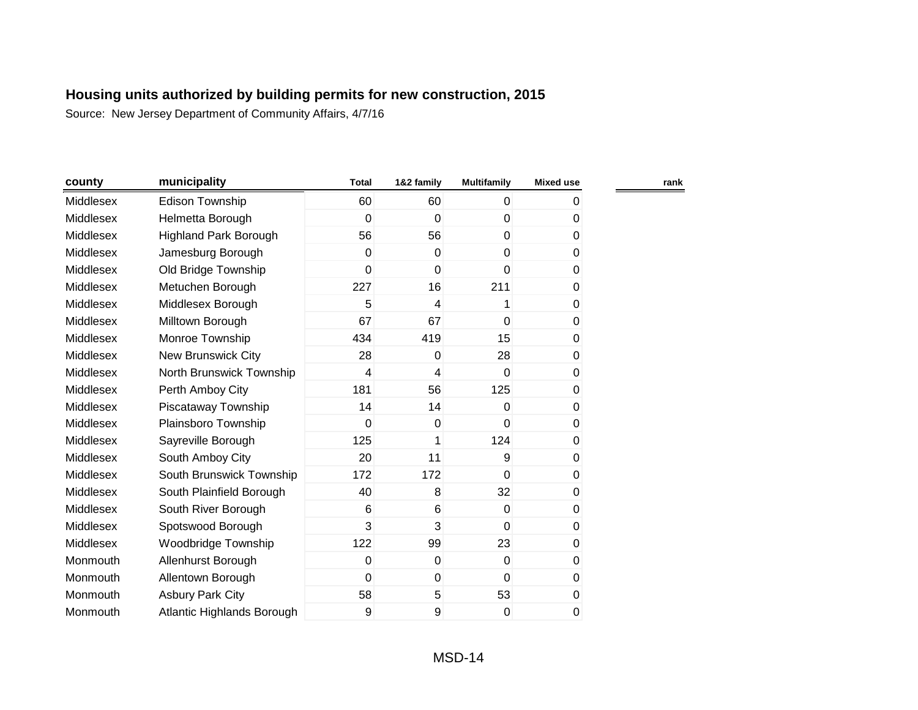| county    | municipality                 | <b>Total</b> | 1&2 family   | <b>Multifamily</b> | <b>Mixed use</b> | rank |
|-----------|------------------------------|--------------|--------------|--------------------|------------------|------|
| Middlesex | Edison Township              | 60           | 60           | 0                  | 0                |      |
| Middlesex | Helmetta Borough             | 0            | $\mathbf 0$  | $\mathbf 0$        | 0                |      |
| Middlesex | <b>Highland Park Borough</b> | 56           | 56           | $\mathbf 0$        | 0                |      |
| Middlesex | Jamesburg Borough            | $\mathbf 0$  | $\mathbf 0$  | $\mathbf{0}$       | 0                |      |
| Middlesex | Old Bridge Township          | $\mathbf{0}$ | $\mathbf{0}$ | $\mathbf{0}$       | 0                |      |
| Middlesex | Metuchen Borough             | 227          | 16           | 211                | 0                |      |
| Middlesex | Middlesex Borough            | 5            | 4            | 1                  | 0                |      |
| Middlesex | Milltown Borough             | 67           | 67           | $\mathbf{0}$       | 0                |      |
| Middlesex | Monroe Township              | 434          | 419          | 15                 | 0                |      |
| Middlesex | <b>New Brunswick City</b>    | 28           | 0            | 28                 | 0                |      |
| Middlesex | North Brunswick Township     | 4            | 4            | $\mathbf 0$        | 0                |      |
| Middlesex | Perth Amboy City             | 181          | 56           | 125                | 0                |      |
| Middlesex | Piscataway Township          | 14           | 14           | $\mathbf{0}$       | 0                |      |
| Middlesex | Plainsboro Township          | $\mathbf 0$  | $\mathbf 0$  | $\mathbf{0}$       | 0                |      |
| Middlesex | Sayreville Borough           | 125          | 1            | 124                | 0                |      |
| Middlesex | South Amboy City             | 20           | 11           | $\overline{9}$     | 0                |      |
| Middlesex | South Brunswick Township     | 172          | 172          | $\mathbf{0}$       | 0                |      |
| Middlesex | South Plainfield Borough     | 40           | 8            | 32                 | 0                |      |
| Middlesex | South River Borough          | 6            | 6            | $\mathbf 0$        | 0                |      |
| Middlesex | Spotswood Borough            | 3            | 3            | $\overline{0}$     | 0                |      |
| Middlesex | Woodbridge Township          | 122          | 99           | 23                 | 0                |      |
| Monmouth  | Allenhurst Borough           | $\pmb{0}$    | $\mathbf 0$  | $\mathbf 0$        | 0                |      |
| Monmouth  | Allentown Borough            | $\mathbf 0$  | 0            | $\overline{0}$     | 0                |      |
| Monmouth  | <b>Asbury Park City</b>      | 58           | 5            | 53                 | 0                |      |
| Monmouth  | Atlantic Highlands Borough   | 9            | 9            | 0                  | 0                |      |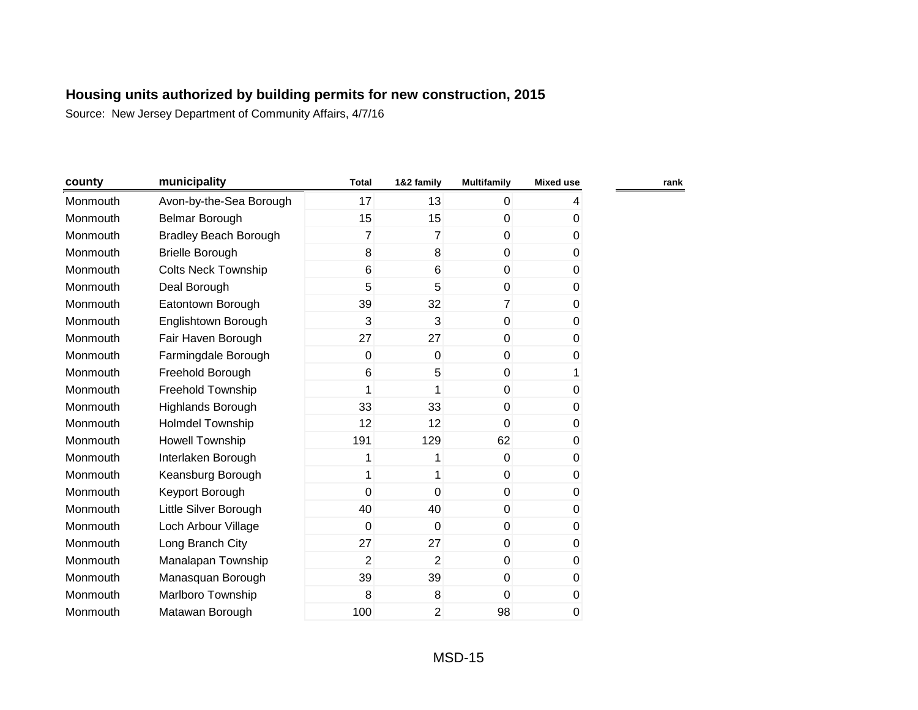| county   | municipality                 | <b>Total</b>   | 1&2 family     | <b>Multifamily</b> | <b>Mixed use</b> |  |
|----------|------------------------------|----------------|----------------|--------------------|------------------|--|
| Monmouth | Avon-by-the-Sea Borough      | 17             | 13             | $\overline{0}$     | 4                |  |
| Monmouth | Belmar Borough               | 15             | 15             | $\mathbf 0$        | 0                |  |
| Monmouth | <b>Bradley Beach Borough</b> | $\overline{7}$ | 7              | $\overline{0}$     | $\pmb{0}$        |  |
| Monmouth | <b>Brielle Borough</b>       | 8              | 8              | $\overline{0}$     | $\pmb{0}$        |  |
| Monmouth | <b>Colts Neck Township</b>   | 6              | 6              | $\overline{0}$     | 0                |  |
| Monmouth | Deal Borough                 | 5              | 5              | $\mathbf 0$        | 0                |  |
| Monmouth | Eatontown Borough            | 39             | 32             | $\overline{7}$     | 0                |  |
| Monmouth | Englishtown Borough          | 3              | 3              | $\overline{0}$     | 0                |  |
| Monmouth | Fair Haven Borough           | 27             | 27             | $\mathbf 0$        | 0                |  |
| Monmouth | Farmingdale Borough          | 0              | $\mathbf 0$    | $\overline{0}$     | 0                |  |
| Monmouth | Freehold Borough             | 6              | 5              | $\mathbf{0}$       | 1                |  |
| Monmouth | Freehold Township            | 1              | 1              | $\overline{0}$     | $\pmb{0}$        |  |
| Monmouth | <b>Highlands Borough</b>     | 33             | 33             | $\mathbf{0}$       | 0                |  |
| Monmouth | <b>Holmdel Township</b>      | 12             | 12             | $\mathbf{0}$       | 0                |  |
| Monmouth | <b>Howell Township</b>       | 191            | 129            | 62                 | 0                |  |
| Monmouth | Interlaken Borough           | 1              | 1              | $\overline{0}$     | 0                |  |
| Monmouth | Keansburg Borough            | 1              | 1              | $\overline{0}$     | 0                |  |
| Monmouth | Keyport Borough              | 0              | $\mathbf 0$    | $\mathbf 0$        | 0                |  |
| Monmouth | Little Silver Borough        | 40             | 40             | $\overline{0}$     | 0                |  |
| Monmouth | Loch Arbour Village          | 0              | $\mathbf 0$    | $\overline{0}$     | 0                |  |
| Monmouth | Long Branch City             | 27             | 27             | $\overline{0}$     | 0                |  |
| Monmouth | Manalapan Township           | $\overline{2}$ | $\overline{2}$ | $\mathbf 0$        | $\pmb{0}$        |  |
| Monmouth | Manasquan Borough            | 39             | 39             | $\mathbf 0$        | $\pmb{0}$        |  |
| Monmouth | Marlboro Township            | 8              | 8              | $\mathbf{0}$       | 0                |  |
| Monmouth | Matawan Borough              | 100            | 2              | 98                 | 0                |  |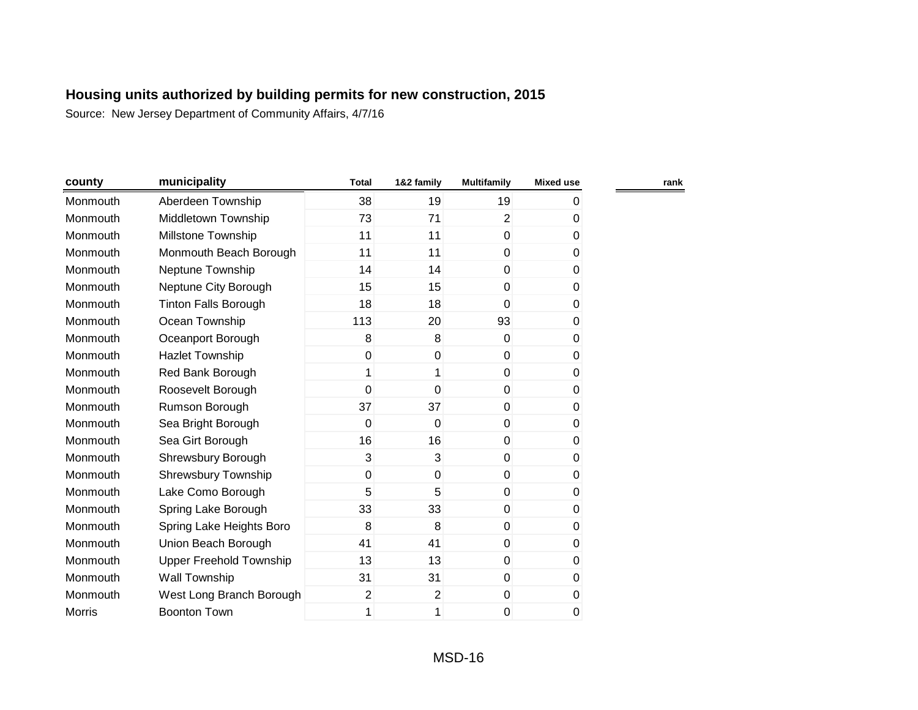| county        | municipality                | <b>Total</b>   | 1&2 family     | <b>Multifamily</b> | <b>Mixed use</b> | rank |
|---------------|-----------------------------|----------------|----------------|--------------------|------------------|------|
| Monmouth      | Aberdeen Township           | 38             | 19             | 19                 | 0                |      |
| Monmouth      | Middletown Township         | 73             | 71             | $\overline{2}$     | 0                |      |
| Monmouth      | Millstone Township          | 11             | 11             | $\pmb{0}$          | 0                |      |
| Monmouth      | Monmouth Beach Borough      | 11             | 11             | $\mathbf 0$        | 0                |      |
| Monmouth      | Neptune Township            | 14             | 14             | $\mathbf 0$        | 0                |      |
| Monmouth      | Neptune City Borough        | 15             | 15             | $\mathbf 0$        | 0                |      |
| Monmouth      | <b>Tinton Falls Borough</b> | 18             | 18             | $\mathbf{0}$       | 0                |      |
| Monmouth      | Ocean Township              | 113            | 20             | 93                 | $\boldsymbol{0}$ |      |
| Monmouth      | Oceanport Borough           | 8              | 8              | $\mathbf 0$        | 0                |      |
| Monmouth      | <b>Hazlet Township</b>      | 0              | $\pmb{0}$      | $\mathbf 0$        | 0                |      |
| Monmouth      | Red Bank Borough            | 1              | 1              | $\mathbf{0}$       | 0                |      |
| Monmouth      | Roosevelt Borough           | 0              | $\overline{0}$ | $\mathbf 0$        | 0                |      |
| Monmouth      | Rumson Borough              | 37             | 37             | $\overline{0}$     | 0                |      |
| Monmouth      | Sea Bright Borough          | 0              | $\mathbf 0$    | $\mathbf 0$        | 0                |      |
| Monmouth      | Sea Girt Borough            | 16             | 16             | $\mathbf 0$        | 0                |      |
| Monmouth      | Shrewsbury Borough          | 3              | 3              | $\mathbf 0$        | 0                |      |
| Monmouth      | Shrewsbury Township         | 0              | $\mathbf 0$    | $\mathbf 0$        | 0                |      |
| Monmouth      | Lake Como Borough           | 5              | 5              | $\mathbf 0$        | 0                |      |
| Monmouth      | Spring Lake Borough         | 33             | 33             | $\mathbf 0$        | 0                |      |
| Monmouth      | Spring Lake Heights Boro    | 8              | 8              | $\mathbf 0$        | 0                |      |
| Monmouth      | Union Beach Borough         | 41             | 41             | $\mathbf 0$        | 0                |      |
| Monmouth      | Upper Freehold Township     | 13             | 13             | $\mathbf 0$        | 0                |      |
| Monmouth      | Wall Township               | 31             | 31             | $\mathbf 0$        | 0                |      |
| Monmouth      | West Long Branch Borough    | $\overline{2}$ | $\overline{2}$ | $\pmb{0}$          | 0                |      |
| <b>Morris</b> | <b>Boonton Town</b>         | 1              | 1              | 0                  | 0                |      |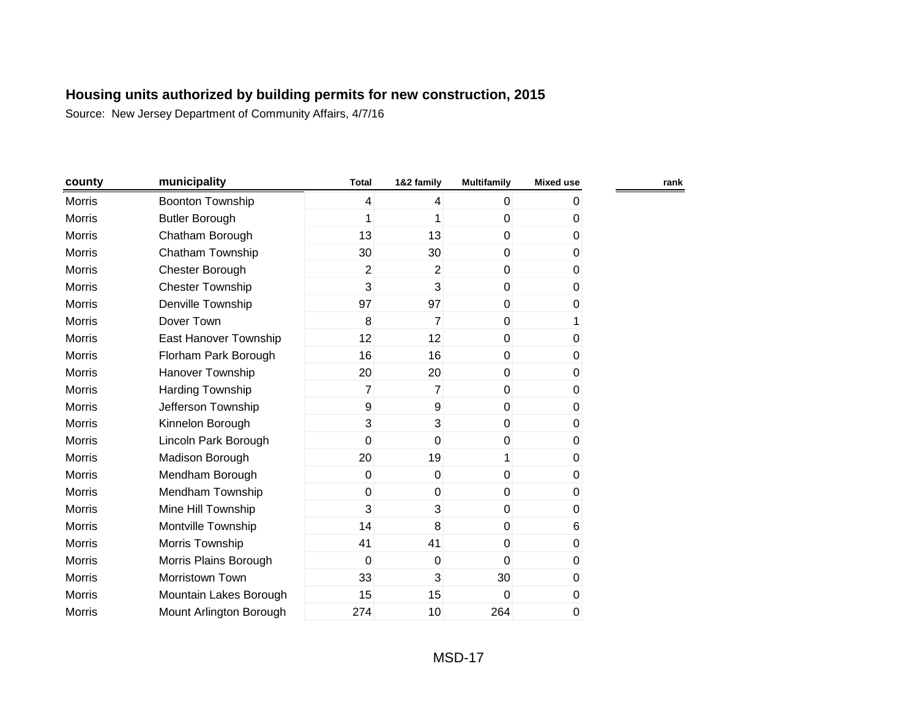| county        | municipality            | <b>Total</b>   | 1&2 family     | <b>Multifamily</b> | <b>Mixed use</b> |
|---------------|-------------------------|----------------|----------------|--------------------|------------------|
| <b>Morris</b> | <b>Boonton Township</b> | $\overline{4}$ | 4              | $\overline{0}$     | 0                |
| <b>Morris</b> | <b>Butler Borough</b>   | 1              | 1              | $\mathbf 0$        | 0                |
| <b>Morris</b> | Chatham Borough         | 13             | 13             | $\overline{0}$     | $\pmb{0}$        |
| Morris        | Chatham Township        | 30             | 30             | $\overline{0}$     | $\pmb{0}$        |
| <b>Morris</b> | Chester Borough         | $\overline{2}$ | $\overline{2}$ | $\overline{0}$     | 0                |
| <b>Morris</b> | <b>Chester Township</b> | 3              | 3              | $\overline{0}$     | 0                |
| <b>Morris</b> | Denville Township       | 97             | 97             | $\overline{0}$     | 0                |
| <b>Morris</b> | Dover Town              | 8              | $\overline{7}$ | $\overline{0}$     | 1                |
| <b>Morris</b> | East Hanover Township   | 12             | 12             | $\mathbf 0$        | 0                |
| <b>Morris</b> | Florham Park Borough    | 16             | 16             | $\mathbf 0$        | 0                |
| <b>Morris</b> | Hanover Township        | 20             | 20             | $\mathbf 0$        | 0                |
| <b>Morris</b> | Harding Township        | 7              | $\overline{7}$ | $\overline{0}$     | $\mathbf 0$      |
| <b>Morris</b> | Jefferson Township      | 9              | 9              | $\overline{0}$     | $\mathbf 0$      |
| <b>Morris</b> | Kinnelon Borough        | 3              | 3              | $\mathbf 0$        | $\pmb{0}$        |
| Morris        | Lincoln Park Borough    | 0              | $\mathbf 0$    | $\pmb{0}$          | $\pmb{0}$        |
| <b>Morris</b> | Madison Borough         | 20             | 19             | 1                  | 0                |
| <b>Morris</b> | Mendham Borough         | 0              | 0              | $\overline{0}$     | 0                |
| <b>Morris</b> | Mendham Township        | 0              | 0              | $\mathbf 0$        | 0                |
| <b>Morris</b> | Mine Hill Township      | 3              | 3              | $\mathbf 0$        | 0                |
| <b>Morris</b> | Montville Township      | 14             | 8              | $\mathbf{0}$       | 6                |
| <b>Morris</b> | Morris Township         | 41             | 41             | $\mathbf{0}$       | $\mathbf 0$      |
| <b>Morris</b> | Morris Plains Borough   | 0              | $\mathbf 0$    | $\overline{0}$     | $\pmb{0}$        |
| <b>Morris</b> | Morristown Town         | 33             | 3              | 30                 | $\pmb{0}$        |
| Morris        | Mountain Lakes Borough  | 15             | 15             | $\mathbf{0}$       | 0                |
| <b>Morris</b> | Mount Arlington Borough | 274            | 10             | 264                | 0                |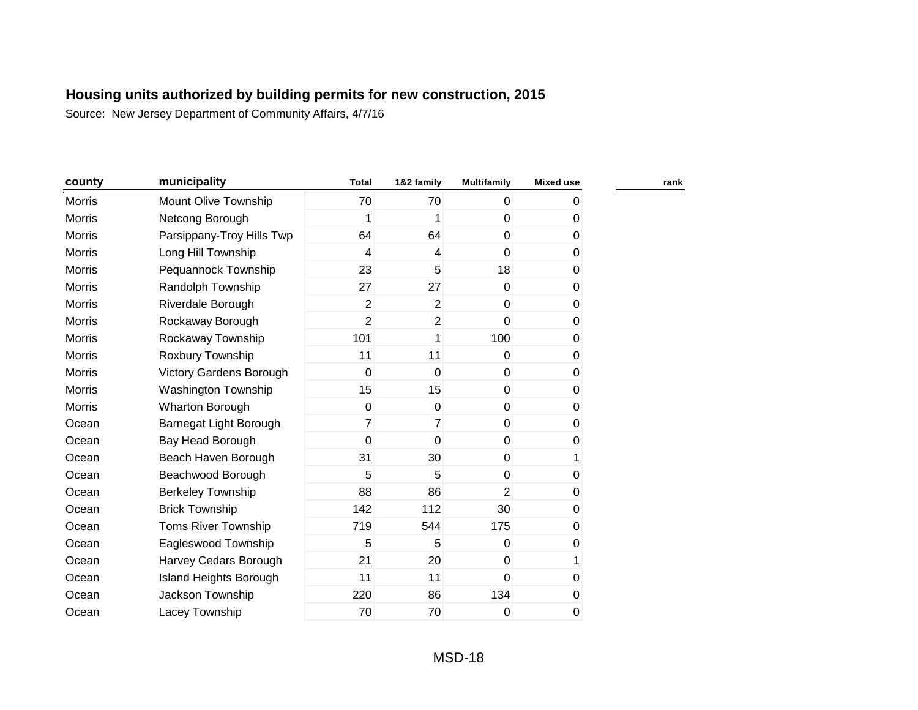| county        | municipality                   | <b>Total</b>   | 1&2 family      | <b>Multifamily</b> | <b>Mixed use</b> | rank |
|---------------|--------------------------------|----------------|-----------------|--------------------|------------------|------|
| <b>Morris</b> | Mount Olive Township           | 70             | 70              | $\overline{0}$     | 0                |      |
| <b>Morris</b> | Netcong Borough                | 1              | 1               | $\mathbf 0$        | 0                |      |
| <b>Morris</b> | Parsippany-Troy Hills Twp      | 64             | 64              | $\overline{0}$     | 0                |      |
| <b>Morris</b> | Long Hill Township             | 4              | 4               | $\overline{0}$     | 0                |      |
| <b>Morris</b> | Pequannock Township            | 23             | 5               | 18                 | 0                |      |
| <b>Morris</b> | Randolph Township              | 27             | 27              | $\overline{0}$     | 0                |      |
| <b>Morris</b> | Riverdale Borough              | $\overline{2}$ | $\overline{2}$  | $\overline{0}$     | 0                |      |
| <b>Morris</b> | Rockaway Borough               | 2              | $\overline{2}$  | $\overline{0}$     | 0                |      |
| <b>Morris</b> | Rockaway Township              | 101            | 1               | 100                | 0                |      |
| <b>Morris</b> | Roxbury Township               | 11             | 11              | $\overline{0}$     | 0                |      |
| <b>Morris</b> | <b>Victory Gardens Borough</b> | 0              | $\mathbf 0$     | $\overline{0}$     | 0                |      |
| <b>Morris</b> | Washington Township            | 15             | 15              | $\overline{0}$     | 0                |      |
| <b>Morris</b> | <b>Wharton Borough</b>         | 0              | $\mathbf 0$     | $\overline{0}$     | 0                |      |
| Ocean         | Barnegat Light Borough         | 7              | $\overline{7}$  | $\overline{0}$     | 0                |      |
| Ocean         | Bay Head Borough               | 0              | $\mathbf 0$     | $\overline{0}$     | 0                |      |
| Ocean         | Beach Haven Borough            | 31             | 30 <sup>°</sup> | $\overline{0}$     | 1                |      |
| Ocean         | Beachwood Borough              | 5              | 5               | $\overline{0}$     | 0                |      |
| Ocean         | <b>Berkeley Township</b>       | 88             | 86              | $\overline{2}$     | 0                |      |
| Ocean         | <b>Brick Township</b>          | 142            | 112             | 30                 | 0                |      |
| Ocean         | <b>Toms River Township</b>     | 719            | 544             | 175                | 0                |      |
| Ocean         | Eagleswood Township            | 5              | 5               | $\overline{0}$     | 0                |      |
| Ocean         | Harvey Cedars Borough          | 21             | 20              | $\overline{0}$     | 1                |      |
| Ocean         | Island Heights Borough         | 11             | 11              | $\mathbf{0}$       | 0                |      |
| Ocean         | Jackson Township               | 220            | 86              | 134                | 0                |      |
| Ocean         | Lacey Township                 | 70             | 70              | 0                  | 0                |      |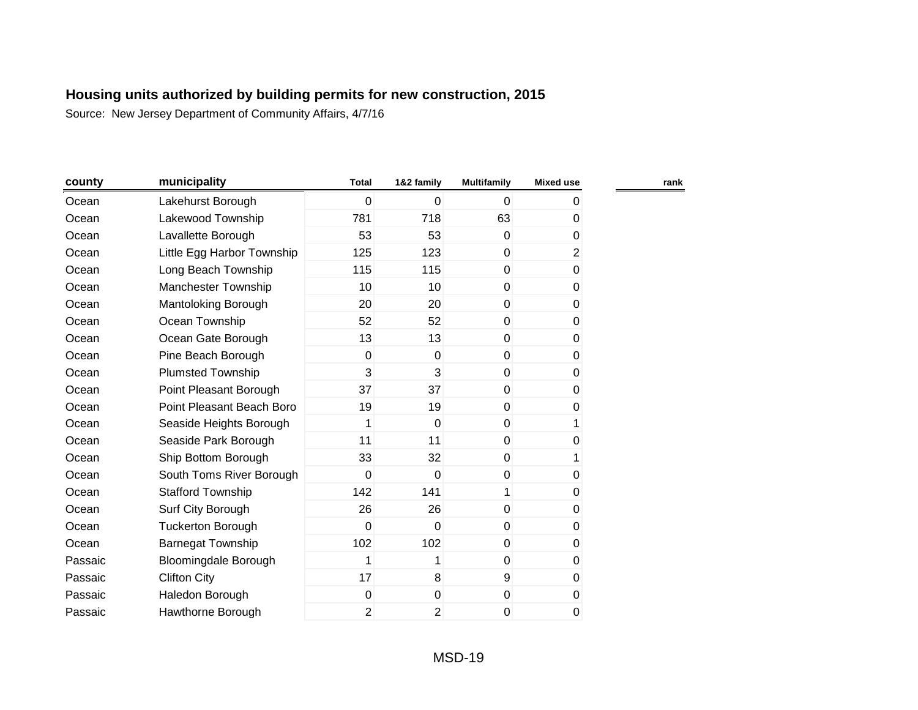| county  | municipality                | <b>Total</b>   | 1&2 family     | <b>Multifamily</b> | <b>Mixed use</b> |
|---------|-----------------------------|----------------|----------------|--------------------|------------------|
| Ocean   | Lakehurst Borough           | $\mathbf 0$    | $\mathbf 0$    | $\mathbf 0$        | 0                |
| Ocean   | Lakewood Township           | 781            | 718            | 63                 | 0                |
| Ocean   | Lavallette Borough          | 53             | 53             | $\Omega$           | 0                |
| Ocean   | Little Egg Harbor Township  | 125            | 123            | $\mathbf 0$        | $\overline{2}$   |
| Ocean   | Long Beach Township         | 115            | 115            | 0                  | 0                |
| Ocean   | Manchester Township         | 10             | 10             | $\mathbf 0$        | $\mathbf 0$      |
| Ocean   | Mantoloking Borough         | 20             | 20             | $\mathbf 0$        | 0                |
| Ocean   | Ocean Township              | 52             | 52             | $\mathbf 0$        | $\mathbf 0$      |
| Ocean   | Ocean Gate Borough          | 13             | 13             | 0                  | 0                |
| Ocean   | Pine Beach Borough          | 0              | 0              | 0                  | 0                |
| Ocean   | <b>Plumsted Township</b>    | 3              | 3              | $\Omega$           | 0                |
| Ocean   | Point Pleasant Borough      | 37             | 37             | $\mathbf{0}$       | 0                |
| Ocean   | Point Pleasant Beach Boro   | 19             | 19             | $\mathbf{0}$       | 0                |
| Ocean   | Seaside Heights Borough     | 1              | $\mathbf 0$    | 0                  | 1                |
| Ocean   | Seaside Park Borough        | 11             | 11             | $\Omega$           | 0                |
| Ocean   | Ship Bottom Borough         | 33             | 32             | $\mathbf{0}$       | 1                |
| Ocean   | South Toms River Borough    | 0              | $\mathbf 0$    | $\mathbf 0$        | 0                |
| Ocean   | <b>Stafford Township</b>    | 142            | 141            | 1                  | 0                |
| Ocean   | Surf City Borough           | 26             | 26             | 0                  | 0                |
| Ocean   | <b>Tuckerton Borough</b>    | $\mathbf 0$    | $\mathbf 0$    | $\mathbf 0$        | 0                |
| Ocean   | <b>Barnegat Township</b>    | 102            | 102            | $\mathbf 0$        | 0                |
| Passaic | <b>Bloomingdale Borough</b> | 1              | 1              | $\mathbf{0}$       | 0                |
| Passaic | <b>Clifton City</b>         | 17             | 8              | 9                  | 0                |
| Passaic | Haledon Borough             | 0              | $\mathbf 0$    | $\pmb{0}$          | 0                |
| Passaic | Hawthorne Borough           | $\overline{2}$ | $\overline{2}$ | 0                  | 0                |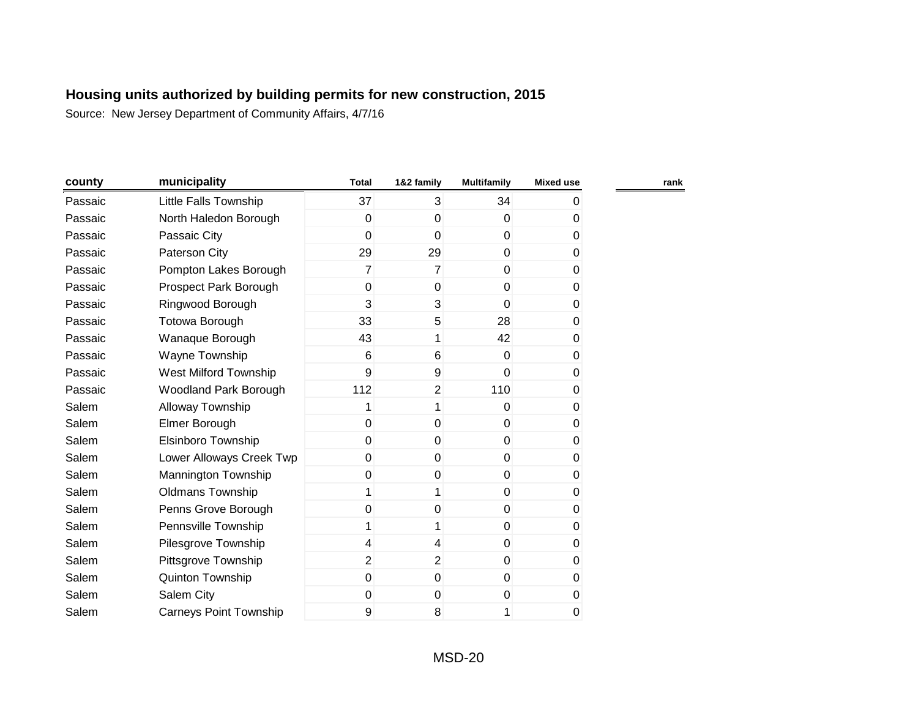Source: New Jersey Department of Community Affairs, 4/7/16

| county  | municipality                  | <b>Total</b>   | 1&2 family     | <b>Multifamily</b> | <b>Mixed use</b> | rank |
|---------|-------------------------------|----------------|----------------|--------------------|------------------|------|
| Passaic | Little Falls Township         | 37             | $\overline{3}$ | 34                 | 0                |      |
| Passaic | North Haledon Borough         | 0              | $\mathbf 0$    | $\overline{0}$     | 0                |      |
| Passaic | Passaic City                  | 0              | $\mathbf 0$    | $\overline{0}$     | 0                |      |
| Passaic | Paterson City                 | 29             | 29             | $\overline{0}$     | 0                |      |
| Passaic | Pompton Lakes Borough         | $\overline{7}$ | $\overline{7}$ | $\mathbf 0$        | 0                |      |
| Passaic | Prospect Park Borough         | $\mathbf 0$    | $\mathbf 0$    | $\overline{0}$     | 0                |      |
| Passaic | Ringwood Borough              | 3              | 3              | $\overline{0}$     | 0                |      |
| Passaic | Totowa Borough                | 33             | 5              | 28                 | $\pmb{0}$        |      |
| Passaic | Wanaque Borough               | 43             | 1              | 42                 | 0                |      |
| Passaic | Wayne Township                | 6              | 6              | $\overline{0}$     | 0                |      |
| Passaic | West Milford Township         | 9              | 9              | $\Omega$           | 0                |      |
| Passaic | <b>Woodland Park Borough</b>  | 112            | $\overline{2}$ | 110                | 0                |      |
| Salem   | Alloway Township              | 1              | 1              | $\Omega$           | 0                |      |
| Salem   | Elmer Borough                 | 0              | $\mathbf{0}$   | $\mathbf 0$        | 0                |      |
| Salem   | <b>Elsinboro Township</b>     | 0              | $\Omega$       | $\overline{0}$     | 0                |      |
| Salem   | Lower Alloways Creek Twp      | 0              | $\mathbf{0}$   | $\overline{0}$     | 0                |      |
| Salem   | Mannington Township           | 0              | $\mathbf 0$    | $\overline{0}$     | 0                |      |
| Salem   | <b>Oldmans Township</b>       | 1              | 1              | $\overline{0}$     | 0                |      |
| Salem   | Penns Grove Borough           | 0              | 0              | $\overline{0}$     | 0                |      |
| Salem   | Pennsville Township           | 1              | 1              | $\overline{0}$     | 0                |      |
| Salem   | Pilesgrove Township           | 4              | $\overline{4}$ | $\overline{0}$     | 0                |      |
| Salem   | Pittsgrove Township           | $\overline{2}$ | $\overline{2}$ | $\overline{0}$     | 0                |      |
| Salem   | Quinton Township              | $\mathbf 0$    | $\mathbf 0$    | $\overline{0}$     | 0                |      |
| Salem   | Salem City                    | 0              | $\mathbf 0$    | $\boldsymbol{0}$   | 0                |      |
| Salem   | <b>Carneys Point Township</b> | 9              | 8              | 1                  | 0                |      |

MSD-20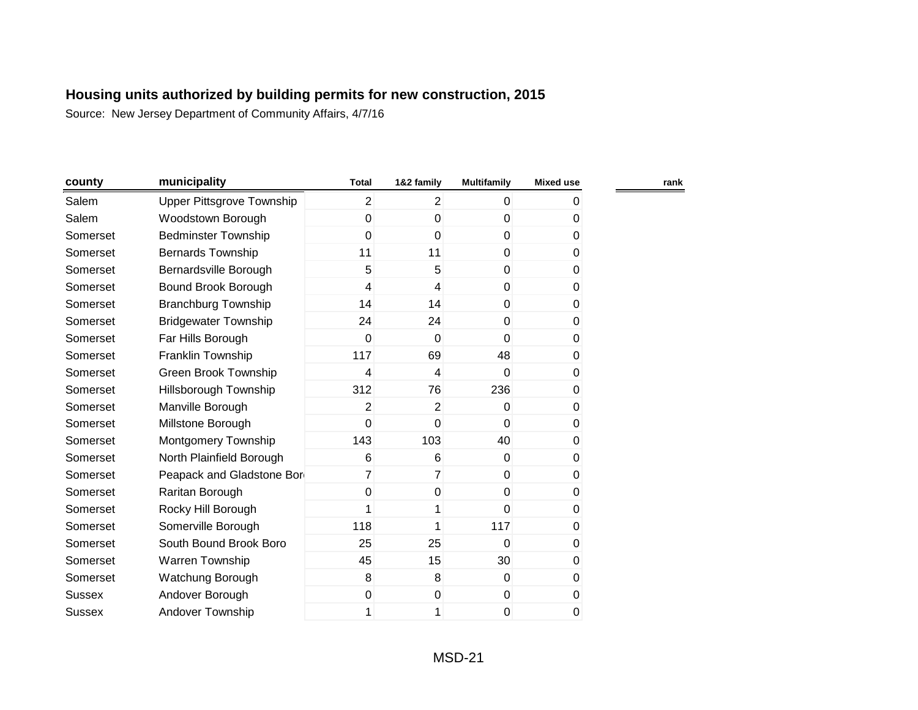| county        | municipality                     | <b>Total</b>   | 1&2 family     | <b>Multifamily</b> | <b>Mixed use</b> | rank |
|---------------|----------------------------------|----------------|----------------|--------------------|------------------|------|
| Salem         | <b>Upper Pittsgrove Township</b> | $\overline{2}$ | $\overline{2}$ | $\overline{0}$     | 0                |      |
| Salem         | Woodstown Borough                | 0              | $\mathbf 0$    | 0                  | 0                |      |
| Somerset      | <b>Bedminster Township</b>       | 0              | $\mathbf 0$    | $\overline{0}$     | 0                |      |
| Somerset      | <b>Bernards Township</b>         | 11             | 11             | $\overline{0}$     | $\pmb{0}$        |      |
| Somerset      | Bernardsville Borough            | 5              | 5              | $\overline{0}$     | 0                |      |
| Somerset      | Bound Brook Borough              | 4              | 4              | $\overline{0}$     | 0                |      |
| Somerset      | <b>Branchburg Township</b>       | 14             | 14             | $\overline{0}$     | 0                |      |
| Somerset      | <b>Bridgewater Township</b>      | 24             | 24             | $\overline{0}$     | 0                |      |
| Somerset      | Far Hills Borough                | 0              | 0              | 0                  | 0                |      |
| Somerset      | Franklin Township                | 117            | 69             | 48                 | 0                |      |
| Somerset      | <b>Green Brook Township</b>      | 4              | 4              | $\overline{0}$     | 0                |      |
| Somerset      | Hillsborough Township            | 312            | 76             | 236                | 0                |      |
| Somerset      | Manville Borough                 | $\overline{2}$ | $\overline{c}$ | $\overline{0}$     | $\pmb{0}$        |      |
| Somerset      | Millstone Borough                | 0              | 0              | $\overline{0}$     | 0                |      |
| Somerset      | Montgomery Township              | 143            | 103            | 40                 | $\pmb{0}$        |      |
| Somerset      | North Plainfield Borough         | 6              | 6              | $\overline{0}$     | 0                |      |
| Somerset      | Peapack and Gladstone Bor        | $\overline{7}$ | $\overline{7}$ | $\overline{0}$     | 0                |      |
| Somerset      | Raritan Borough                  | 0              | 0              | $\overline{0}$     | 0                |      |
| Somerset      | Rocky Hill Borough               | 1              | 1              | $\overline{0}$     | 0                |      |
| Somerset      | Somerville Borough               | 118            | 1              | 117                | 0                |      |
| Somerset      | South Bound Brook Boro           | 25             | 25             | 0                  | 0                |      |
| Somerset      | <b>Warren Township</b>           | 45             | 15             | 30                 | 0                |      |
| Somerset      | Watchung Borough                 | 8              | 8              | $\overline{0}$     | $\pmb{0}$        |      |
| <b>Sussex</b> | Andover Borough                  | 0              | 0              | $\boldsymbol{0}$   | $\pmb{0}$        |      |
| Sussex        | Andover Township                 | 1              | 1              | 0                  | 0                |      |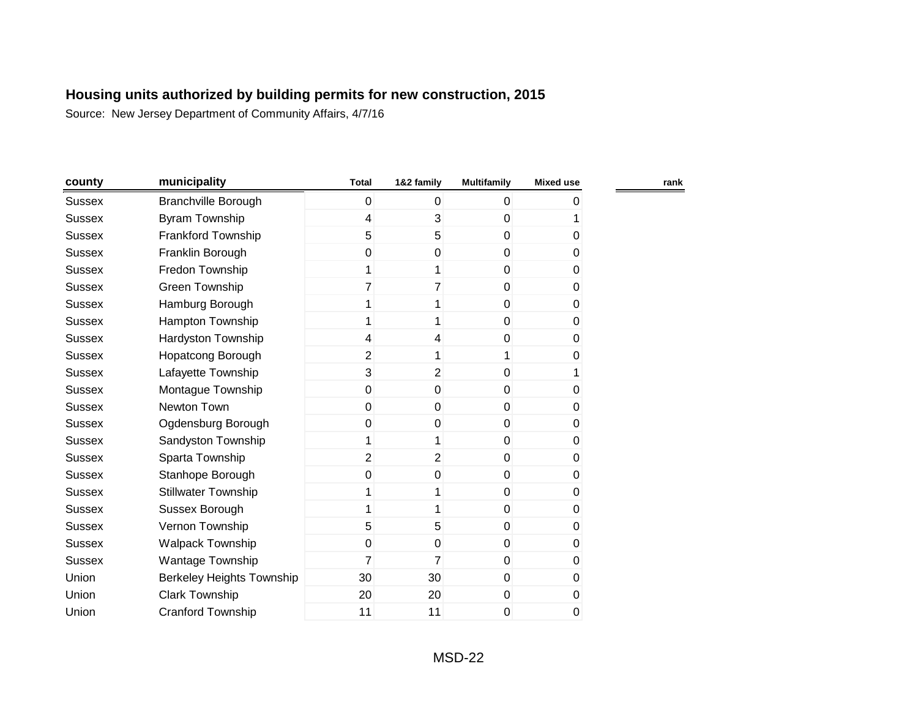| county        | municipality               | <b>Total</b>   | 1&2 family     | <b>Multifamily</b> | <b>Mixed use</b> | rank |
|---------------|----------------------------|----------------|----------------|--------------------|------------------|------|
| Sussex        | <b>Branchville Borough</b> | 0              | 0              | $\overline{0}$     | 0                |      |
| <b>Sussex</b> | <b>Byram Township</b>      | 4              | 3              | 0                  |                  |      |
| <b>Sussex</b> | Frankford Township         | 5              | 5              | $\overline{0}$     | 0                |      |
| <b>Sussex</b> | Franklin Borough           | 0              | $\mathbf 0$    | $\overline{0}$     | 0                |      |
| <b>Sussex</b> | Fredon Township            | 1              | 1              | $\overline{0}$     | 0                |      |
| <b>Sussex</b> | Green Township             | 7              | 7              | $\overline{0}$     | 0                |      |
| <b>Sussex</b> | Hamburg Borough            | 1              | 1              | 0                  | 0                |      |
| Sussex        | Hampton Township           | 1              | 1              | $\overline{0}$     | 0                |      |
| <b>Sussex</b> | Hardyston Township         | 4              | 4              | 0                  | 0                |      |
| <b>Sussex</b> | <b>Hopatcong Borough</b>   | $\overline{c}$ | 1              | 1                  | 0                |      |
| <b>Sussex</b> | Lafayette Township         | 3              | $\overline{2}$ | $\mathbf 0$        | 1                |      |
| Sussex        | Montague Township          | 0              | $\mathbf 0$    | $\overline{0}$     | 0                |      |
| <b>Sussex</b> | Newton Town                | 0              | $\mathbf 0$    | $\overline{0}$     | 0                |      |
| <b>Sussex</b> | Ogdensburg Borough         | 0              | 0              | $\overline{0}$     | 0                |      |
| <b>Sussex</b> | Sandyston Township         | 1              | 1              | $\overline{0}$     | 0                |      |
| <b>Sussex</b> | Sparta Township            | $\overline{2}$ | $\overline{2}$ | $\boldsymbol{0}$   | 0                |      |
| <b>Sussex</b> | Stanhope Borough           | 0              | $\pmb{0}$      | $\boldsymbol{0}$   | 0                |      |
| <b>Sussex</b> | <b>Stillwater Township</b> | 1              | 1              | $\boldsymbol{0}$   | 0                |      |
| <b>Sussex</b> | Sussex Borough             | 1              | 1              | $\boldsymbol{0}$   | 0                |      |
| <b>Sussex</b> | Vernon Township            | 5              | 5              | $\boldsymbol{0}$   | 0                |      |
| <b>Sussex</b> | <b>Walpack Township</b>    | $\mathbf 0$    | $\mathbf 0$    | $\overline{0}$     | 0                |      |
| <b>Sussex</b> | Wantage Township           | 7              | 7              | $\overline{0}$     | 0                |      |
| Union         | Berkeley Heights Township  | 30             | 30             | $\overline{0}$     | 0                |      |
| Union         | <b>Clark Township</b>      | 20             | 20             | $\mathbf 0$        | 0                |      |
| Union         | <b>Cranford Township</b>   | 11             | 11             | 0                  | 0                |      |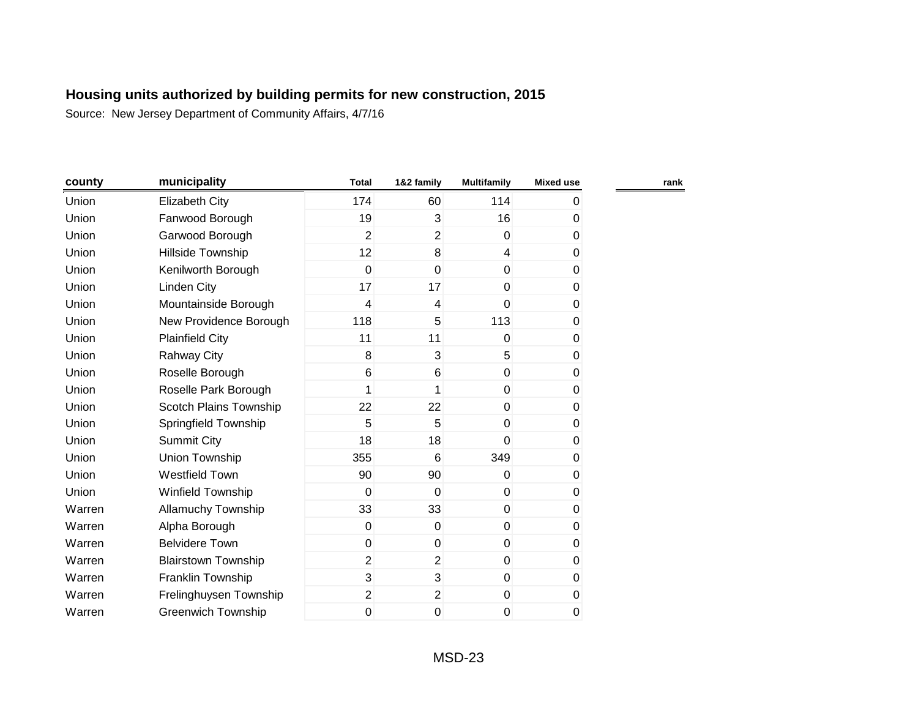| county | municipality               | <b>Total</b>   | 1&2 family               | <b>Multifamily</b> | <b>Mixed use</b> | rank |
|--------|----------------------------|----------------|--------------------------|--------------------|------------------|------|
| Union  | <b>Elizabeth City</b>      | 174            | 60                       | 114                | 0                |      |
| Union  | Fanwood Borough            | 19             | 3                        | 16                 | 0                |      |
| Union  | Garwood Borough            | $\overline{2}$ | $\overline{2}$           | $\overline{0}$     | 0                |      |
| Union  | Hillside Township          | 12             | 8                        | $\overline{4}$     | 0                |      |
| Union  | Kenilworth Borough         | $\mathbf 0$    | $\mathbf 0$              | $\mathbf 0$        | 0                |      |
| Union  | <b>Linden City</b>         | 17             | 17                       | $\overline{0}$     | $\pmb{0}$        |      |
| Union  | Mountainside Borough       | $\overline{4}$ | $\overline{\mathcal{A}}$ | $\overline{0}$     | 0                |      |
| Union  | New Providence Borough     | 118            | 5                        | 113                | $\pmb{0}$        |      |
| Union  | <b>Plainfield City</b>     | 11             | 11                       | $\Omega$           | 0                |      |
| Union  | <b>Rahway City</b>         | 8              | 3                        | 5                  | 0                |      |
| Union  | Roselle Borough            | 6              | 6                        | $\overline{0}$     | 0                |      |
| Union  | Roselle Park Borough       | 1              | 1                        | $\overline{0}$     | 0                |      |
| Union  | Scotch Plains Township     | 22             | 22                       | $\overline{0}$     | 0                |      |
| Union  | Springfield Township       | 5              | 5                        | $\overline{0}$     | 0                |      |
| Union  | <b>Summit City</b>         | 18             | 18                       | 0                  | 0                |      |
| Union  | Union Township             | 355            | $6\phantom{1}$           | 349                | 0                |      |
| Union  | Westfield Town             | 90             | 90                       | $\overline{0}$     | $\pmb{0}$        |      |
| Union  | Winfield Township          | 0              | 0                        | $\boldsymbol{0}$   | $\pmb{0}$        |      |
| Warren | Allamuchy Township         | 33             | 33                       | $\boldsymbol{0}$   | $\pmb{0}$        |      |
| Warren | Alpha Borough              | 0              | 0                        | $\overline{0}$     | 0                |      |
| Warren | <b>Belvidere Town</b>      | $\pmb{0}$      | $\pmb{0}$                | $\boldsymbol{0}$   | 0                |      |
| Warren | <b>Blairstown Township</b> | $\overline{2}$ | $\overline{2}$           | $\overline{0}$     | 0                |      |
| Warren | Franklin Township          | 3              | 3                        | $\overline{0}$     | 0                |      |
| Warren | Frelinghuysen Township     | $\overline{2}$ | $\overline{2}$           | $\mathbf 0$        | $\pmb{0}$        |      |
| Warren | <b>Greenwich Township</b>  | 0              | 0                        | 0                  | 0                |      |